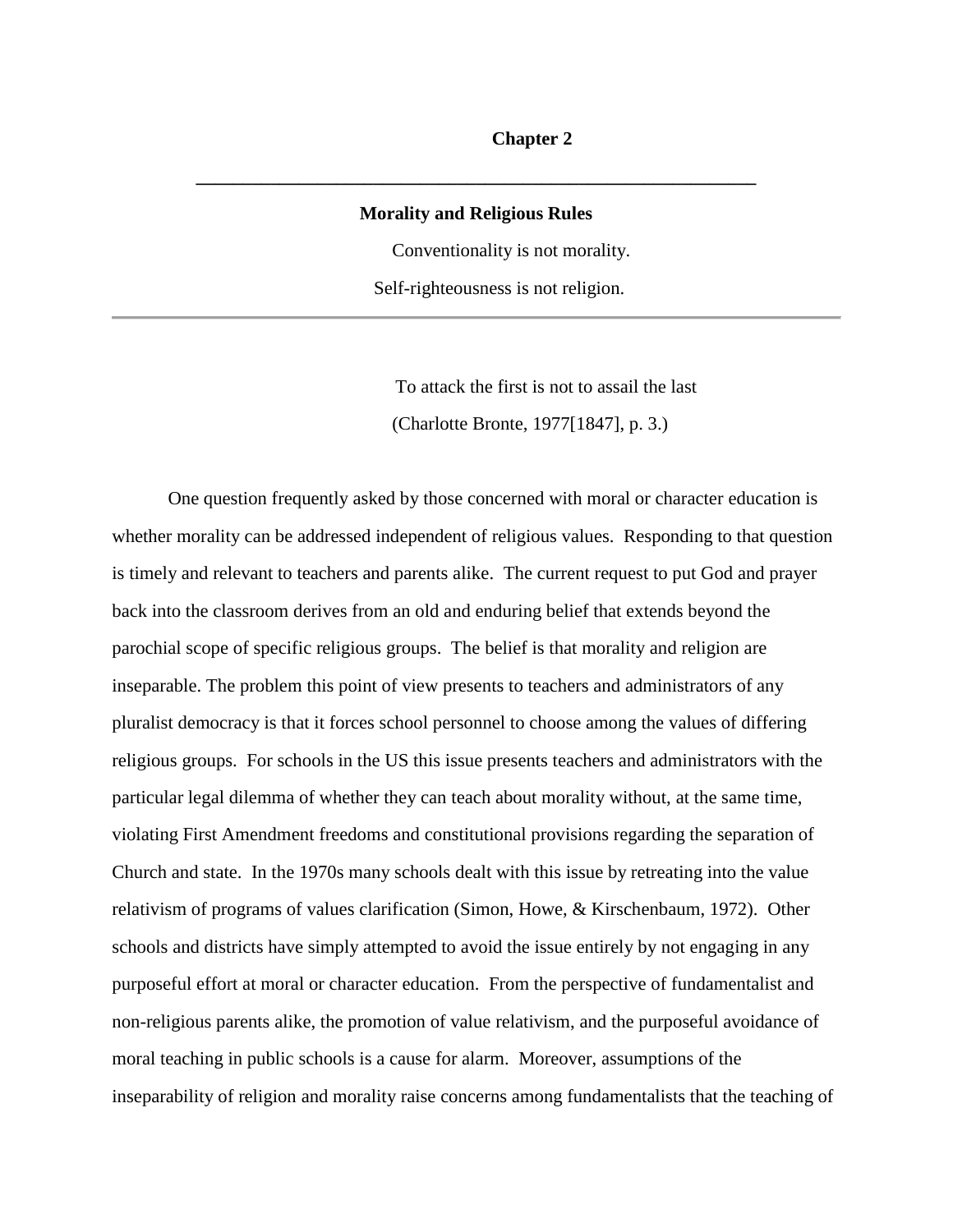### **Morality and Religious Rules**

**\_\_\_\_\_\_\_\_\_\_\_\_\_\_\_\_\_\_\_\_\_\_\_\_\_\_\_\_\_\_\_\_\_\_\_\_\_\_\_\_\_\_\_\_\_\_\_\_\_\_\_\_\_\_\_\_\_\_\_\_**

 Conventionality is not morality. Self-righteousness is not religion.

 To attack the first is not to assail the last (Charlotte Bronte, 1977[1847], p. 3.)

One question frequently asked by those concerned with moral or character education is whether morality can be addressed independent of religious values. Responding to that question is timely and relevant to teachers and parents alike. The current request to put God and prayer back into the classroom derives from an old and enduring belief that extends beyond the parochial scope of specific religious groups. The belief is that morality and religion are inseparable. The problem this point of view presents to teachers and administrators of any pluralist democracy is that it forces school personnel to choose among the values of differing religious groups. For schools in the US this issue presents teachers and administrators with the particular legal dilemma of whether they can teach about morality without, at the same time, violating First Amendment freedoms and constitutional provisions regarding the separation of Church and state. In the 1970s many schools dealt with this issue by retreating into the value relativism of programs of values clarification (Simon, Howe, & Kirschenbaum, 1972). Other schools and districts have simply attempted to avoid the issue entirely by not engaging in any purposeful effort at moral or character education. From the perspective of fundamentalist and non-religious parents alike, the promotion of value relativism, and the purposeful avoidance of moral teaching in public schools is a cause for alarm. Moreover, assumptions of the inseparability of religion and morality raise concerns among fundamentalists that the teaching of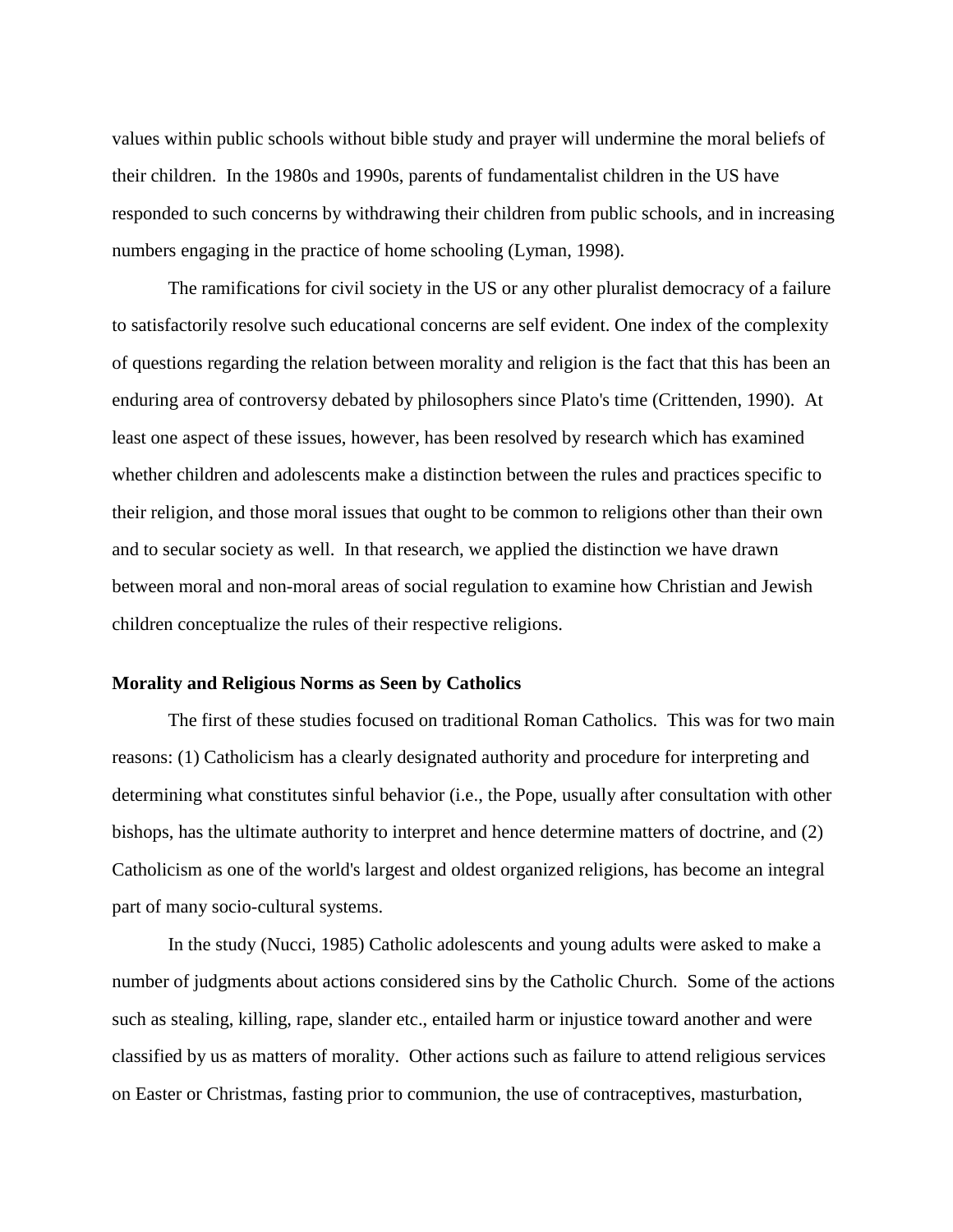values within public schools without bible study and prayer will undermine the moral beliefs of their children. In the 1980s and 1990s, parents of fundamentalist children in the US have responded to such concerns by withdrawing their children from public schools, and in increasing numbers engaging in the practice of home schooling (Lyman, 1998).

The ramifications for civil society in the US or any other pluralist democracy of a failure to satisfactorily resolve such educational concerns are self evident. One index of the complexity of questions regarding the relation between morality and religion is the fact that this has been an enduring area of controversy debated by philosophers since Plato's time (Crittenden, 1990). At least one aspect of these issues, however, has been resolved by research which has examined whether children and adolescents make a distinction between the rules and practices specific to their religion, and those moral issues that ought to be common to religions other than their own and to secular society as well. In that research, we applied the distinction we have drawn between moral and non-moral areas of social regulation to examine how Christian and Jewish children conceptualize the rules of their respective religions.

# **Morality and Religious Norms as Seen by Catholics**

The first of these studies focused on traditional Roman Catholics. This was for two main reasons: (1) Catholicism has a clearly designated authority and procedure for interpreting and determining what constitutes sinful behavior (i.e., the Pope, usually after consultation with other bishops, has the ultimate authority to interpret and hence determine matters of doctrine, and (2) Catholicism as one of the world's largest and oldest organized religions, has become an integral part of many socio-cultural systems.

In the study (Nucci, 1985) Catholic adolescents and young adults were asked to make a number of judgments about actions considered sins by the Catholic Church. Some of the actions such as stealing, killing, rape, slander etc., entailed harm or injustice toward another and were classified by us as matters of morality. Other actions such as failure to attend religious services on Easter or Christmas, fasting prior to communion, the use of contraceptives, masturbation,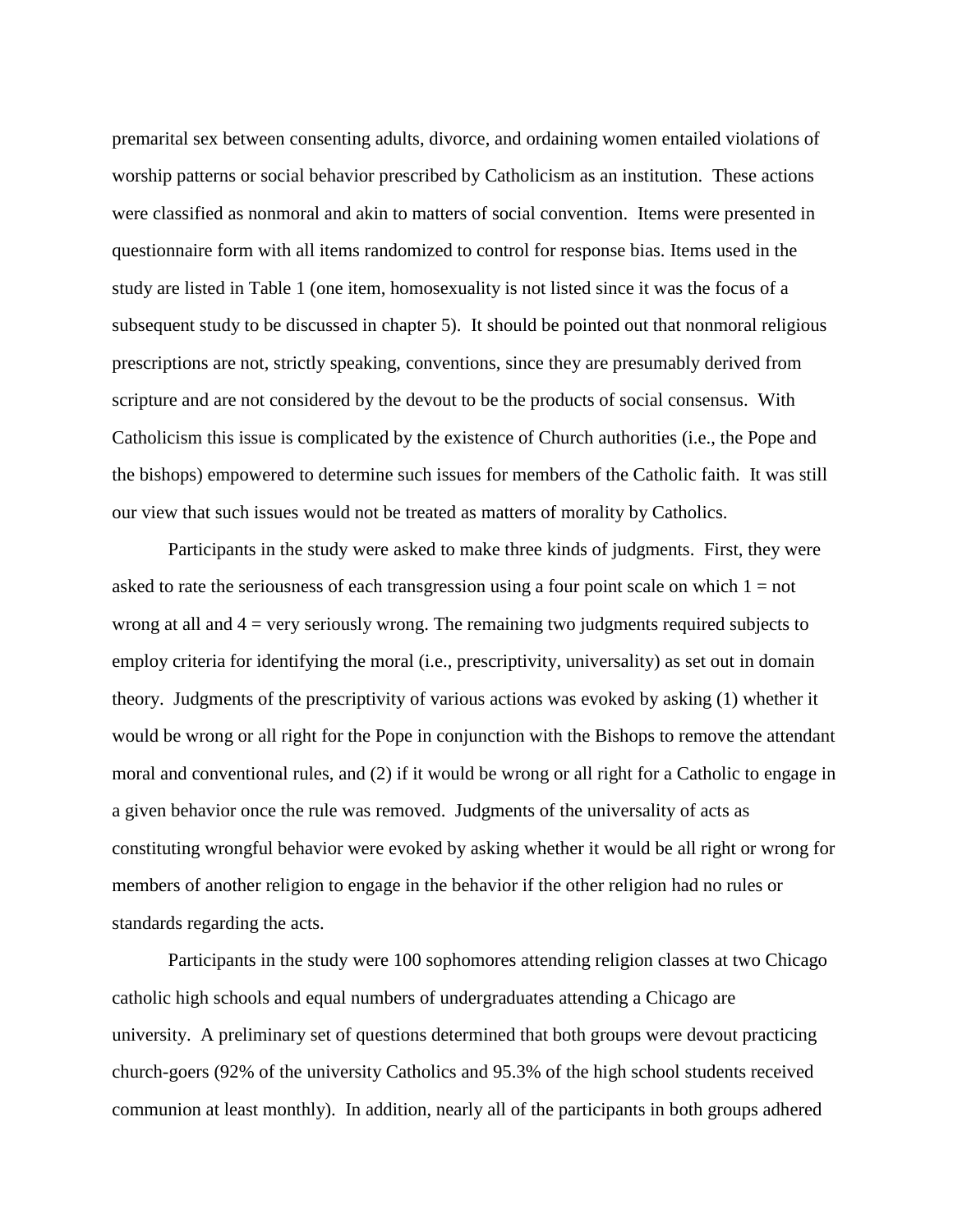premarital sex between consenting adults, divorce, and ordaining women entailed violations of worship patterns or social behavior prescribed by Catholicism as an institution. These actions were classified as nonmoral and akin to matters of social convention. Items were presented in questionnaire form with all items randomized to control for response bias. Items used in the study are listed in Table 1 (one item, homosexuality is not listed since it was the focus of a subsequent study to be discussed in chapter 5). It should be pointed out that nonmoral religious prescriptions are not, strictly speaking, conventions, since they are presumably derived from scripture and are not considered by the devout to be the products of social consensus. With Catholicism this issue is complicated by the existence of Church authorities (i.e., the Pope and the bishops) empowered to determine such issues for members of the Catholic faith. It was still our view that such issues would not be treated as matters of morality by Catholics.

Participants in the study were asked to make three kinds of judgments. First, they were asked to rate the seriousness of each transgression using a four point scale on which  $1 = not$ wrong at all and  $4 = \text{very seriously wrong}$ . The remaining two judgments required subjects to employ criteria for identifying the moral (i.e., prescriptivity, universality) as set out in domain theory. Judgments of the prescriptivity of various actions was evoked by asking (1) whether it would be wrong or all right for the Pope in conjunction with the Bishops to remove the attendant moral and conventional rules, and (2) if it would be wrong or all right for a Catholic to engage in a given behavior once the rule was removed. Judgments of the universality of acts as constituting wrongful behavior were evoked by asking whether it would be all right or wrong for members of another religion to engage in the behavior if the other religion had no rules or standards regarding the acts.

Participants in the study were 100 sophomores attending religion classes at two Chicago catholic high schools and equal numbers of undergraduates attending a Chicago are university. A preliminary set of questions determined that both groups were devout practicing church-goers (92% of the university Catholics and 95.3% of the high school students received communion at least monthly). In addition, nearly all of the participants in both groups adhered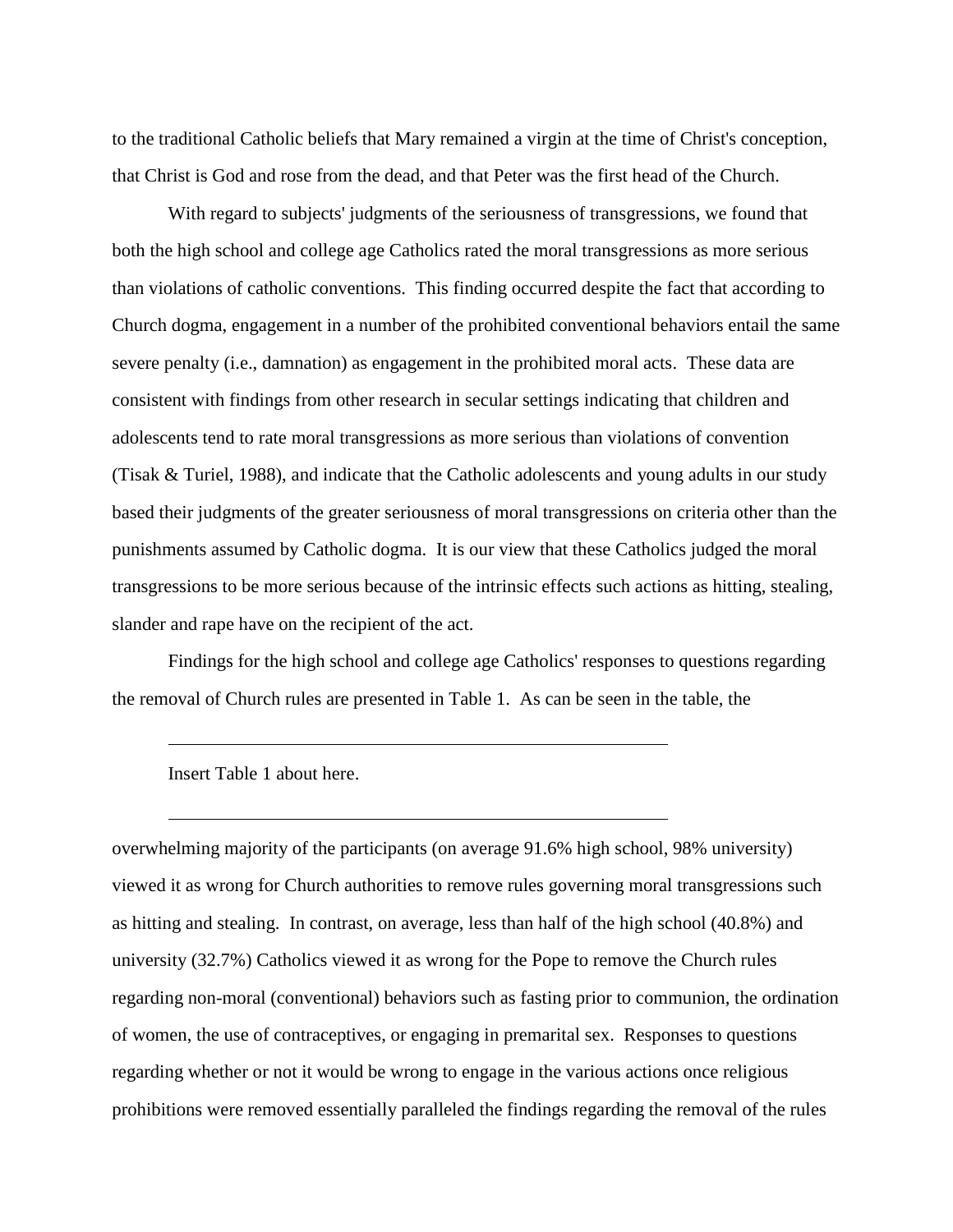to the traditional Catholic beliefs that Mary remained a virgin at the time of Christ's conception, that Christ is God and rose from the dead, and that Peter was the first head of the Church.

With regard to subjects' judgments of the seriousness of transgressions, we found that both the high school and college age Catholics rated the moral transgressions as more serious than violations of catholic conventions. This finding occurred despite the fact that according to Church dogma, engagement in a number of the prohibited conventional behaviors entail the same severe penalty (i.e., damnation) as engagement in the prohibited moral acts. These data are consistent with findings from other research in secular settings indicating that children and adolescents tend to rate moral transgressions as more serious than violations of convention (Tisak & Turiel, 1988), and indicate that the Catholic adolescents and young adults in our study based their judgments of the greater seriousness of moral transgressions on criteria other than the punishments assumed by Catholic dogma. It is our view that these Catholics judged the moral transgressions to be more serious because of the intrinsic effects such actions as hitting, stealing, slander and rape have on the recipient of the act.

Findings for the high school and college age Catholics' responses to questions regarding the removal of Church rules are presented in Table 1. As can be seen in the table, the

Insert Table 1 about here.

 $\overline{a}$ 

 $\overline{a}$ 

overwhelming majority of the participants (on average 91.6% high school, 98% university) viewed it as wrong for Church authorities to remove rules governing moral transgressions such as hitting and stealing. In contrast, on average, less than half of the high school (40.8%) and university (32.7%) Catholics viewed it as wrong for the Pope to remove the Church rules regarding non-moral (conventional) behaviors such as fasting prior to communion, the ordination of women, the use of contraceptives, or engaging in premarital sex. Responses to questions regarding whether or not it would be wrong to engage in the various actions once religious prohibitions were removed essentially paralleled the findings regarding the removal of the rules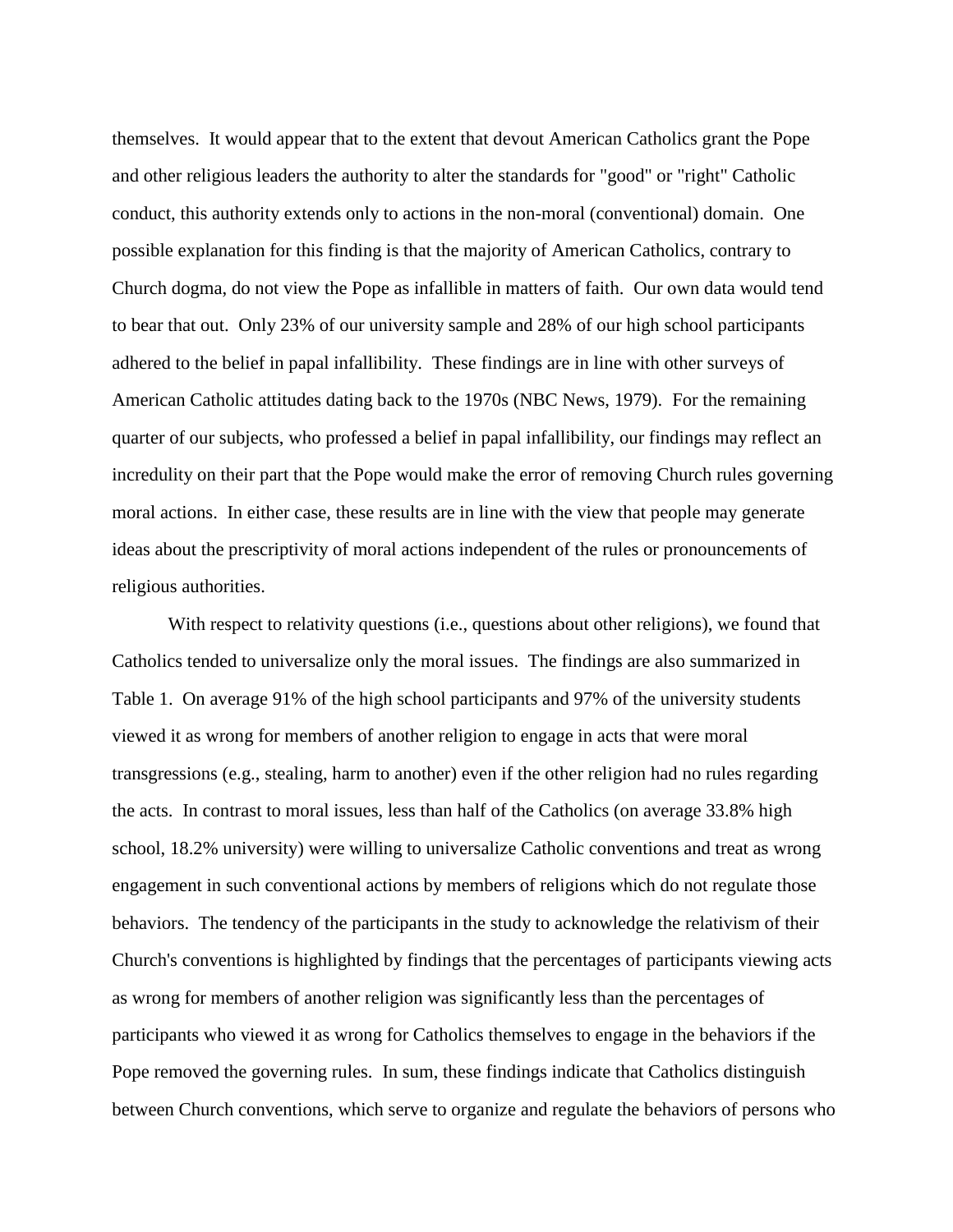themselves. It would appear that to the extent that devout American Catholics grant the Pope and other religious leaders the authority to alter the standards for "good" or "right" Catholic conduct, this authority extends only to actions in the non-moral (conventional) domain. One possible explanation for this finding is that the majority of American Catholics, contrary to Church dogma, do not view the Pope as infallible in matters of faith. Our own data would tend to bear that out. Only 23% of our university sample and 28% of our high school participants adhered to the belief in papal infallibility. These findings are in line with other surveys of American Catholic attitudes dating back to the 1970s (NBC News, 1979). For the remaining quarter of our subjects, who professed a belief in papal infallibility, our findings may reflect an incredulity on their part that the Pope would make the error of removing Church rules governing moral actions. In either case, these results are in line with the view that people may generate ideas about the prescriptivity of moral actions independent of the rules or pronouncements of religious authorities.

With respect to relativity questions (i.e., questions about other religions), we found that Catholics tended to universalize only the moral issues. The findings are also summarized in Table 1. On average 91% of the high school participants and 97% of the university students viewed it as wrong for members of another religion to engage in acts that were moral transgressions (e.g., stealing, harm to another) even if the other religion had no rules regarding the acts. In contrast to moral issues, less than half of the Catholics (on average 33.8% high school, 18.2% university) were willing to universalize Catholic conventions and treat as wrong engagement in such conventional actions by members of religions which do not regulate those behaviors. The tendency of the participants in the study to acknowledge the relativism of their Church's conventions is highlighted by findings that the percentages of participants viewing acts as wrong for members of another religion was significantly less than the percentages of participants who viewed it as wrong for Catholics themselves to engage in the behaviors if the Pope removed the governing rules. In sum, these findings indicate that Catholics distinguish between Church conventions, which serve to organize and regulate the behaviors of persons who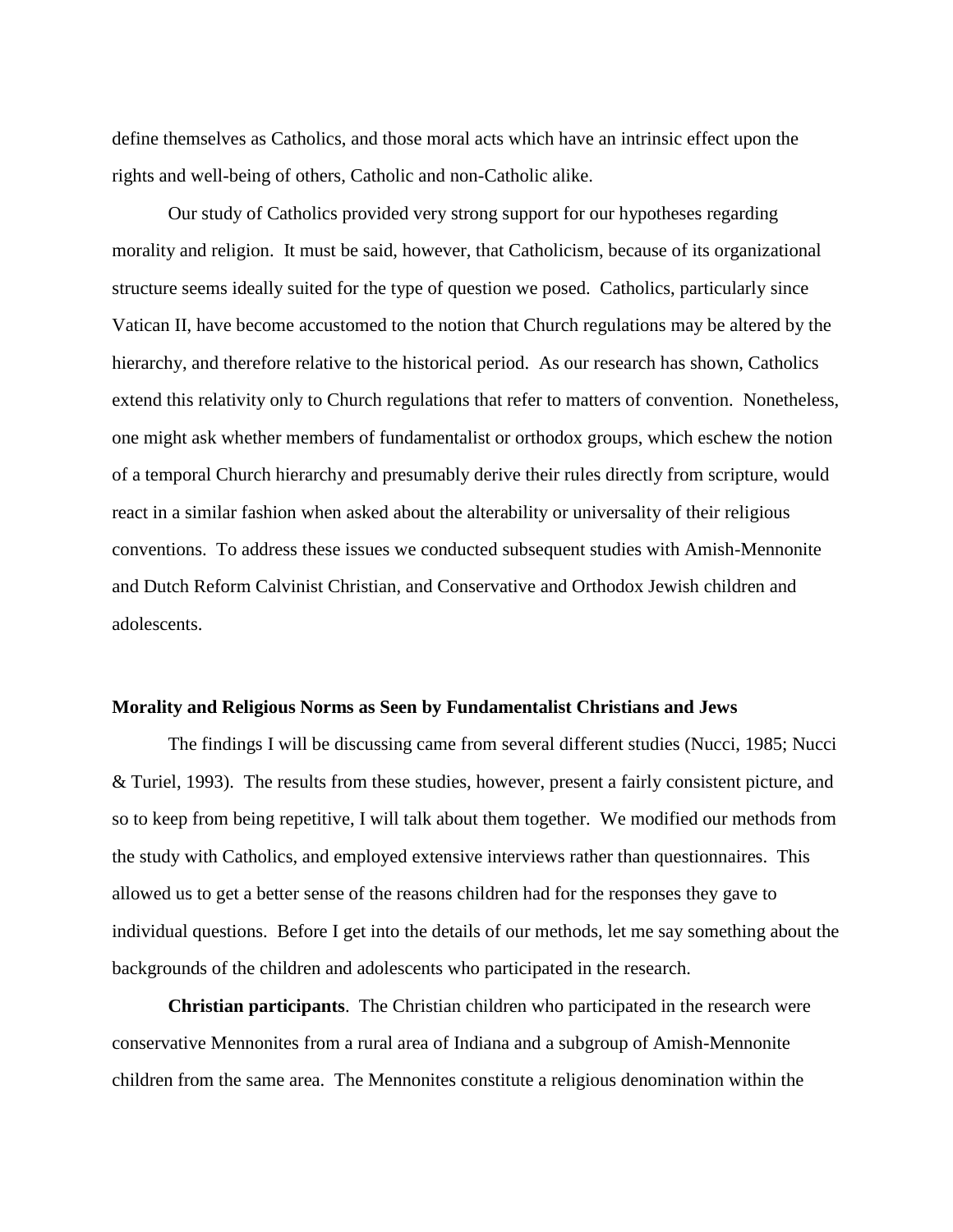define themselves as Catholics, and those moral acts which have an intrinsic effect upon the rights and well-being of others, Catholic and non-Catholic alike.

Our study of Catholics provided very strong support for our hypotheses regarding morality and religion. It must be said, however, that Catholicism, because of its organizational structure seems ideally suited for the type of question we posed. Catholics, particularly since Vatican II, have become accustomed to the notion that Church regulations may be altered by the hierarchy, and therefore relative to the historical period. As our research has shown, Catholics extend this relativity only to Church regulations that refer to matters of convention. Nonetheless, one might ask whether members of fundamentalist or orthodox groups, which eschew the notion of a temporal Church hierarchy and presumably derive their rules directly from scripture, would react in a similar fashion when asked about the alterability or universality of their religious conventions. To address these issues we conducted subsequent studies with Amish-Mennonite and Dutch Reform Calvinist Christian, and Conservative and Orthodox Jewish children and adolescents.

## **Morality and Religious Norms as Seen by Fundamentalist Christians and Jews**

The findings I will be discussing came from several different studies (Nucci, 1985; Nucci & Turiel, 1993). The results from these studies, however, present a fairly consistent picture, and so to keep from being repetitive, I will talk about them together. We modified our methods from the study with Catholics, and employed extensive interviews rather than questionnaires. This allowed us to get a better sense of the reasons children had for the responses they gave to individual questions. Before I get into the details of our methods, let me say something about the backgrounds of the children and adolescents who participated in the research.

**Christian participants**. The Christian children who participated in the research were conservative Mennonites from a rural area of Indiana and a subgroup of Amish-Mennonite children from the same area. The Mennonites constitute a religious denomination within the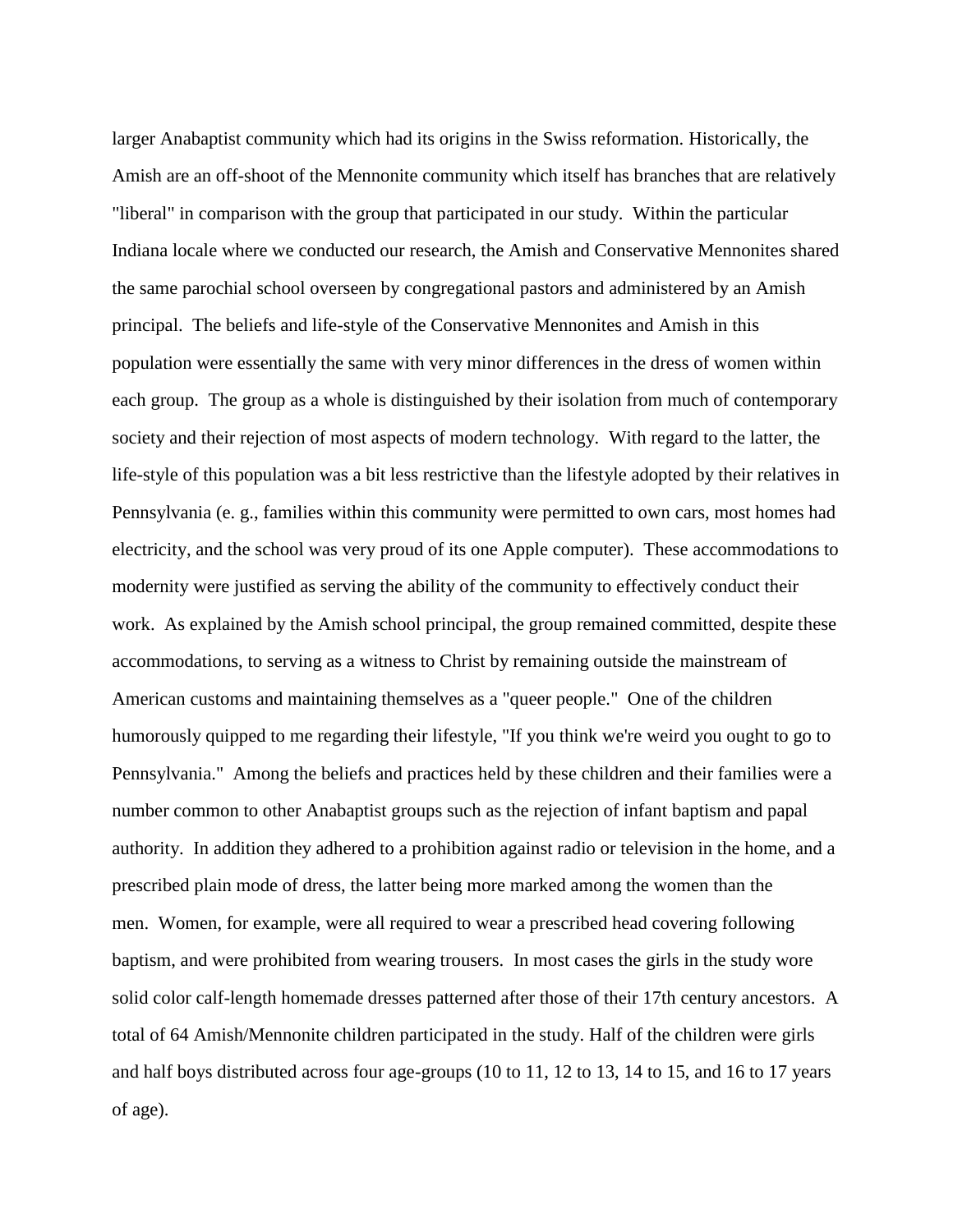larger Anabaptist community which had its origins in the Swiss reformation. Historically, the Amish are an off-shoot of the Mennonite community which itself has branches that are relatively "liberal" in comparison with the group that participated in our study. Within the particular Indiana locale where we conducted our research, the Amish and Conservative Mennonites shared the same parochial school overseen by congregational pastors and administered by an Amish principal. The beliefs and life-style of the Conservative Mennonites and Amish in this population were essentially the same with very minor differences in the dress of women within each group. The group as a whole is distinguished by their isolation from much of contemporary society and their rejection of most aspects of modern technology. With regard to the latter, the life-style of this population was a bit less restrictive than the lifestyle adopted by their relatives in Pennsylvania (e. g., families within this community were permitted to own cars, most homes had electricity, and the school was very proud of its one Apple computer). These accommodations to modernity were justified as serving the ability of the community to effectively conduct their work. As explained by the Amish school principal, the group remained committed, despite these accommodations, to serving as a witness to Christ by remaining outside the mainstream of American customs and maintaining themselves as a "queer people." One of the children humorously quipped to me regarding their lifestyle, "If you think we're weird you ought to go to Pennsylvania." Among the beliefs and practices held by these children and their families were a number common to other Anabaptist groups such as the rejection of infant baptism and papal authority. In addition they adhered to a prohibition against radio or television in the home, and a prescribed plain mode of dress, the latter being more marked among the women than the men. Women, for example, were all required to wear a prescribed head covering following baptism, and were prohibited from wearing trousers. In most cases the girls in the study wore solid color calf-length homemade dresses patterned after those of their 17th century ancestors. A total of 64 Amish/Mennonite children participated in the study. Half of the children were girls and half boys distributed across four age-groups (10 to 11, 12 to 13, 14 to 15, and 16 to 17 years of age).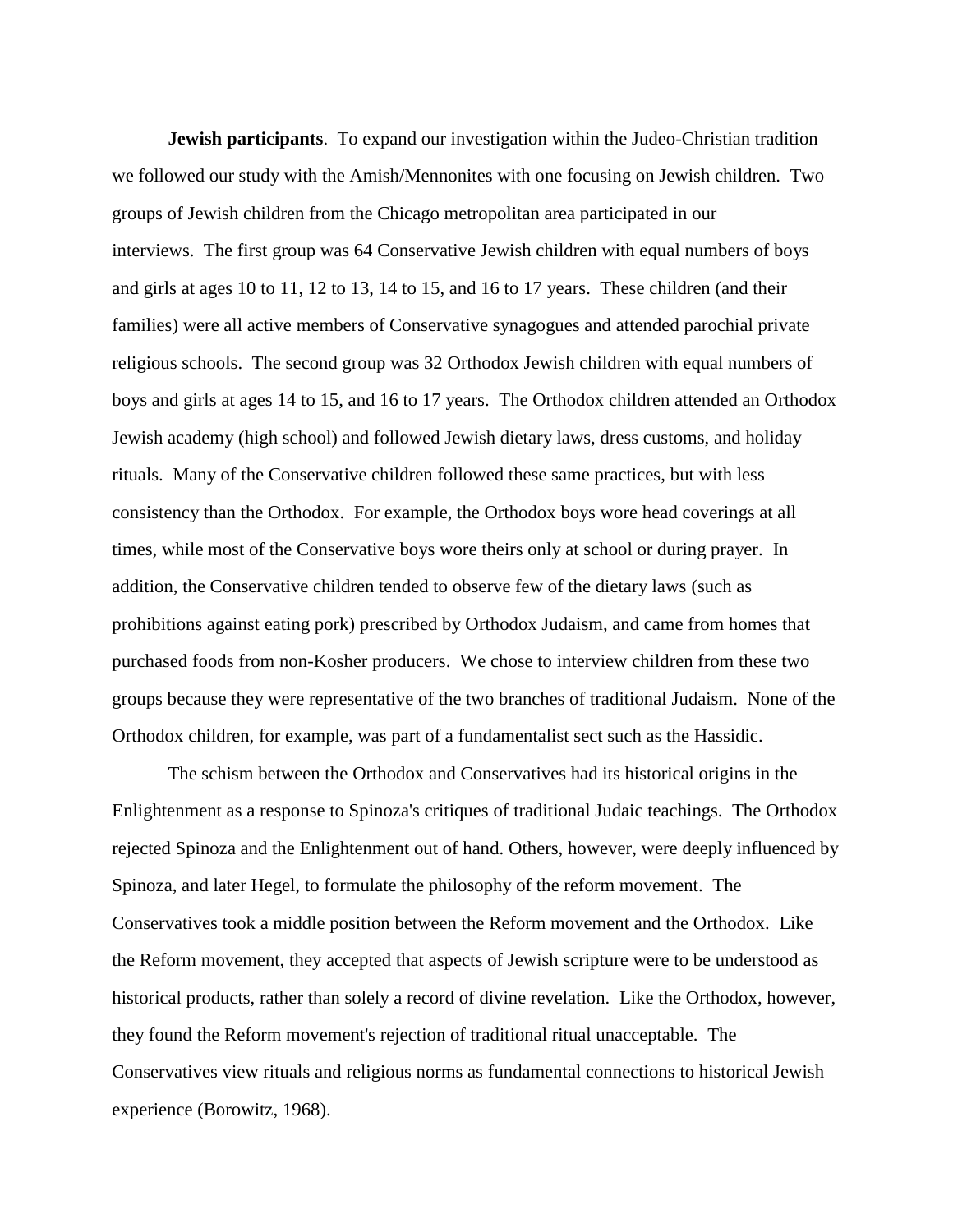**Jewish participants**. To expand our investigation within the Judeo-Christian tradition we followed our study with the Amish/Mennonites with one focusing on Jewish children. Two groups of Jewish children from the Chicago metropolitan area participated in our interviews. The first group was 64 Conservative Jewish children with equal numbers of boys and girls at ages 10 to 11, 12 to 13, 14 to 15, and 16 to 17 years. These children (and their families) were all active members of Conservative synagogues and attended parochial private religious schools. The second group was 32 Orthodox Jewish children with equal numbers of boys and girls at ages 14 to 15, and 16 to 17 years. The Orthodox children attended an Orthodox Jewish academy (high school) and followed Jewish dietary laws, dress customs, and holiday rituals. Many of the Conservative children followed these same practices, but with less consistency than the Orthodox. For example, the Orthodox boys wore head coverings at all times, while most of the Conservative boys wore theirs only at school or during prayer. In addition, the Conservative children tended to observe few of the dietary laws (such as prohibitions against eating pork) prescribed by Orthodox Judaism, and came from homes that purchased foods from non-Kosher producers. We chose to interview children from these two groups because they were representative of the two branches of traditional Judaism. None of the Orthodox children, for example, was part of a fundamentalist sect such as the Hassidic.

The schism between the Orthodox and Conservatives had its historical origins in the Enlightenment as a response to Spinoza's critiques of traditional Judaic teachings. The Orthodox rejected Spinoza and the Enlightenment out of hand. Others, however, were deeply influenced by Spinoza, and later Hegel, to formulate the philosophy of the reform movement. The Conservatives took a middle position between the Reform movement and the Orthodox. Like the Reform movement, they accepted that aspects of Jewish scripture were to be understood as historical products, rather than solely a record of divine revelation. Like the Orthodox, however, they found the Reform movement's rejection of traditional ritual unacceptable. The Conservatives view rituals and religious norms as fundamental connections to historical Jewish experience (Borowitz, 1968).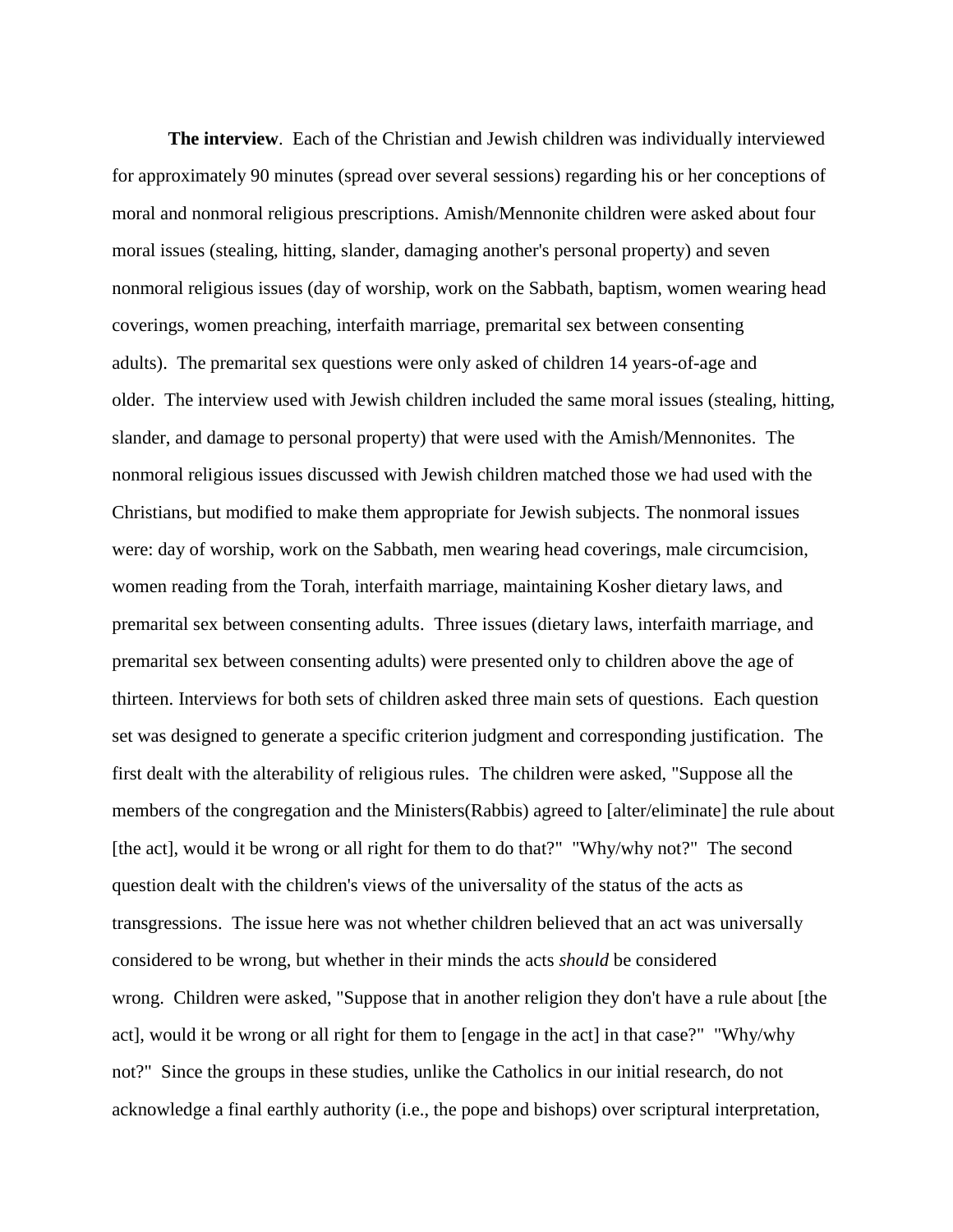**The interview**. Each of the Christian and Jewish children was individually interviewed for approximately 90 minutes (spread over several sessions) regarding his or her conceptions of moral and nonmoral religious prescriptions. Amish/Mennonite children were asked about four moral issues (stealing, hitting, slander, damaging another's personal property) and seven nonmoral religious issues (day of worship, work on the Sabbath, baptism, women wearing head coverings, women preaching, interfaith marriage, premarital sex between consenting adults). The premarital sex questions were only asked of children 14 years-of-age and older. The interview used with Jewish children included the same moral issues (stealing, hitting, slander, and damage to personal property) that were used with the Amish/Mennonites. The nonmoral religious issues discussed with Jewish children matched those we had used with the Christians, but modified to make them appropriate for Jewish subjects. The nonmoral issues were: day of worship, work on the Sabbath, men wearing head coverings, male circumcision, women reading from the Torah, interfaith marriage, maintaining Kosher dietary laws, and premarital sex between consenting adults. Three issues (dietary laws, interfaith marriage, and premarital sex between consenting adults) were presented only to children above the age of thirteen. Interviews for both sets of children asked three main sets of questions. Each question set was designed to generate a specific criterion judgment and corresponding justification. The first dealt with the alterability of religious rules. The children were asked, "Suppose all the members of the congregation and the Ministers(Rabbis) agreed to [alter/eliminate] the rule about [the act], would it be wrong or all right for them to do that?" "Why/why not?" The second question dealt with the children's views of the universality of the status of the acts as transgressions. The issue here was not whether children believed that an act was universally considered to be wrong, but whether in their minds the acts *should* be considered wrong. Children were asked, "Suppose that in another religion they don't have a rule about [the act], would it be wrong or all right for them to [engage in the act] in that case?" "Why/why not?" Since the groups in these studies, unlike the Catholics in our initial research, do not acknowledge a final earthly authority (i.e., the pope and bishops) over scriptural interpretation,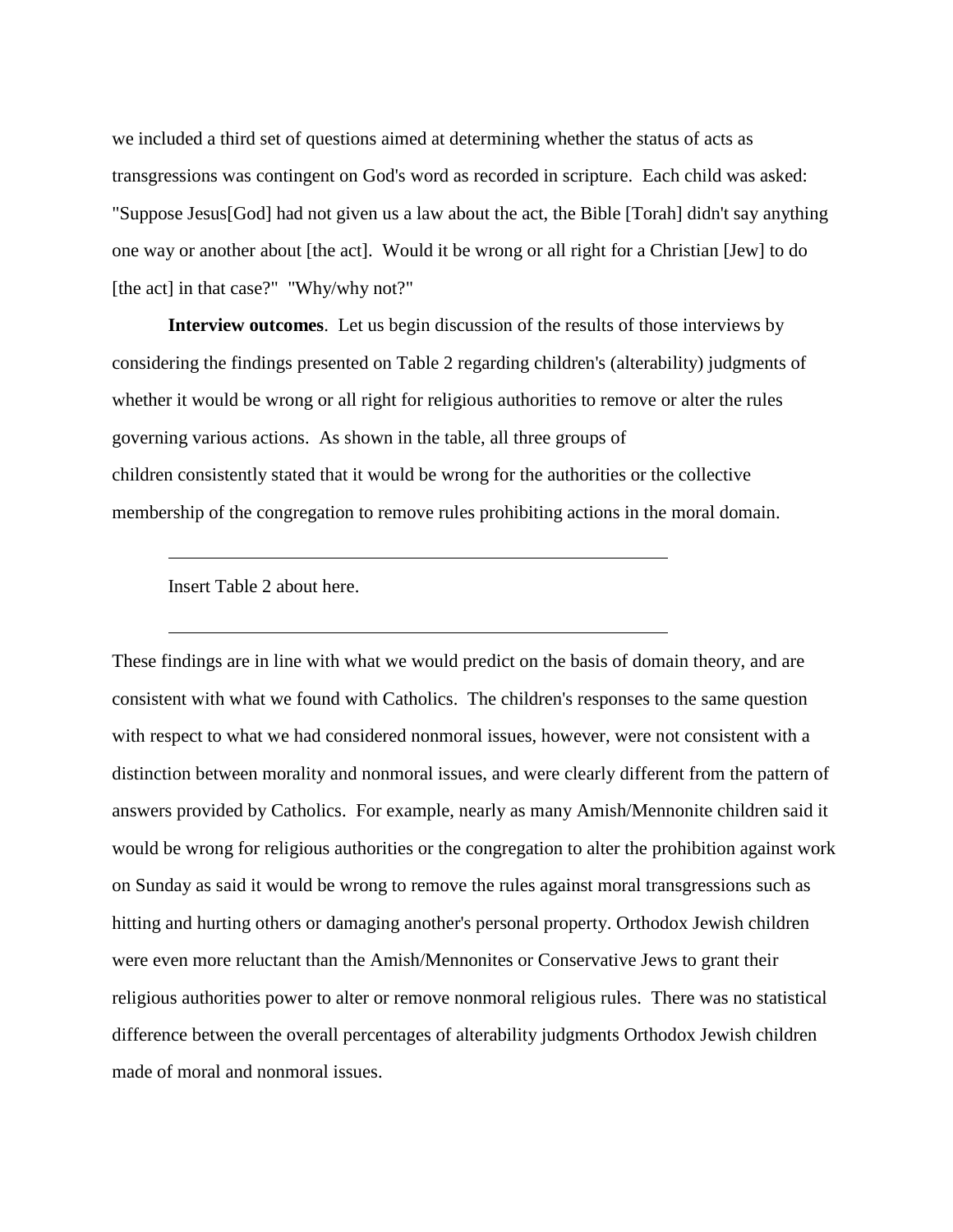we included a third set of questions aimed at determining whether the status of acts as transgressions was contingent on God's word as recorded in scripture. Each child was asked: "Suppose Jesus[God] had not given us a law about the act, the Bible [Torah] didn't say anything one way or another about [the act]. Would it be wrong or all right for a Christian [Jew] to do [the act] in that case?" "Why/why not?"

**Interview outcomes**. Let us begin discussion of the results of those interviews by considering the findings presented on Table 2 regarding children's (alterability) judgments of whether it would be wrong or all right for religious authorities to remove or alter the rules governing various actions. As shown in the table, all three groups of children consistently stated that it would be wrong for the authorities or the collective membership of the congregation to remove rules prohibiting actions in the moral domain.

Insert Table 2 about here.

 $\overline{a}$ 

 $\overline{a}$ 

These findings are in line with what we would predict on the basis of domain theory, and are consistent with what we found with Catholics. The children's responses to the same question with respect to what we had considered nonmoral issues, however, were not consistent with a distinction between morality and nonmoral issues, and were clearly different from the pattern of answers provided by Catholics. For example, nearly as many Amish/Mennonite children said it would be wrong for religious authorities or the congregation to alter the prohibition against work on Sunday as said it would be wrong to remove the rules against moral transgressions such as hitting and hurting others or damaging another's personal property. Orthodox Jewish children were even more reluctant than the Amish/Mennonites or Conservative Jews to grant their religious authorities power to alter or remove nonmoral religious rules. There was no statistical difference between the overall percentages of alterability judgments Orthodox Jewish children made of moral and nonmoral issues.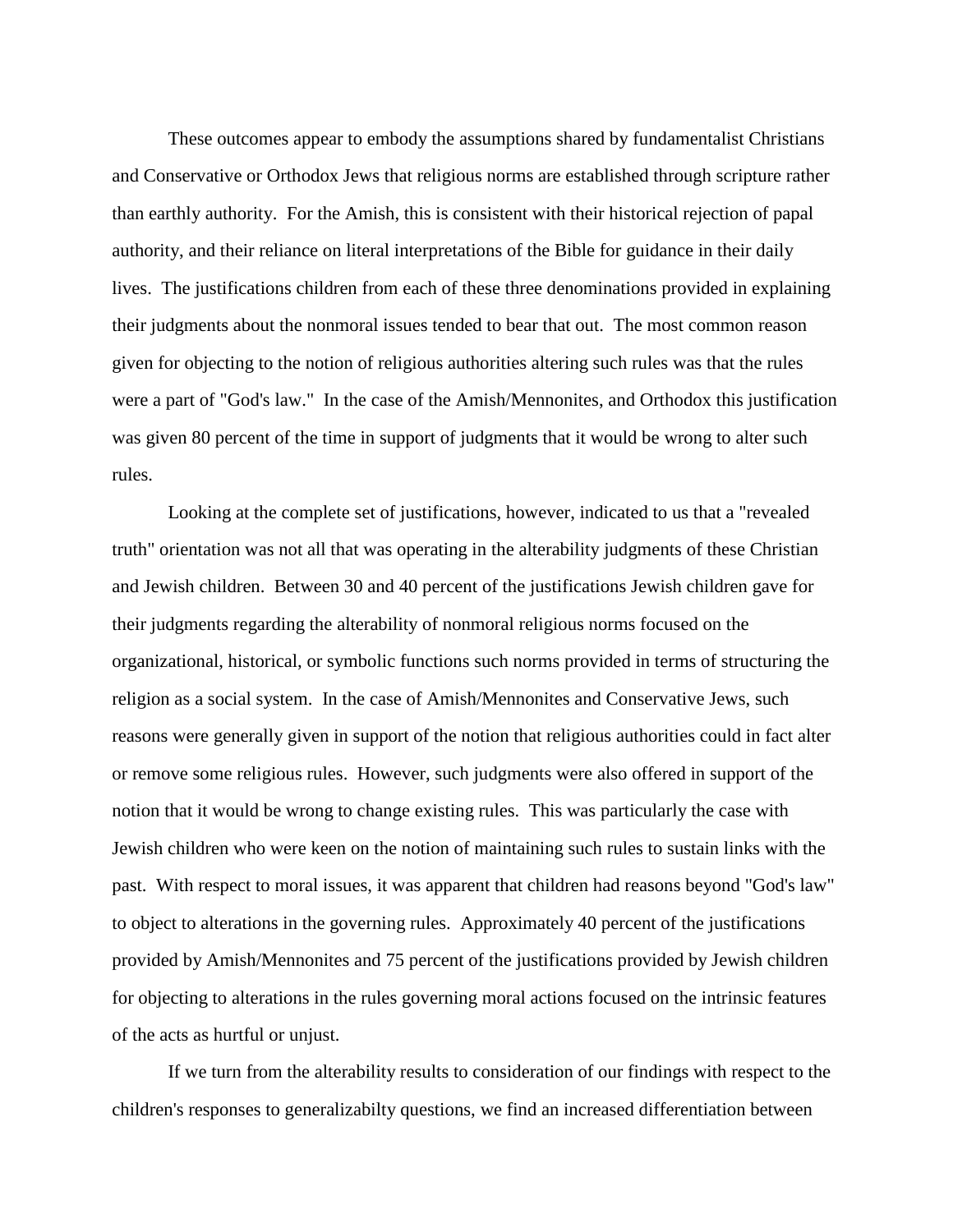These outcomes appear to embody the assumptions shared by fundamentalist Christians and Conservative or Orthodox Jews that religious norms are established through scripture rather than earthly authority. For the Amish, this is consistent with their historical rejection of papal authority, and their reliance on literal interpretations of the Bible for guidance in their daily lives. The justifications children from each of these three denominations provided in explaining their judgments about the nonmoral issues tended to bear that out. The most common reason given for objecting to the notion of religious authorities altering such rules was that the rules were a part of "God's law." In the case of the Amish/Mennonites, and Orthodox this justification was given 80 percent of the time in support of judgments that it would be wrong to alter such rules.

Looking at the complete set of justifications, however, indicated to us that a "revealed truth" orientation was not all that was operating in the alterability judgments of these Christian and Jewish children. Between 30 and 40 percent of the justifications Jewish children gave for their judgments regarding the alterability of nonmoral religious norms focused on the organizational, historical, or symbolic functions such norms provided in terms of structuring the religion as a social system. In the case of Amish/Mennonites and Conservative Jews, such reasons were generally given in support of the notion that religious authorities could in fact alter or remove some religious rules. However, such judgments were also offered in support of the notion that it would be wrong to change existing rules. This was particularly the case with Jewish children who were keen on the notion of maintaining such rules to sustain links with the past. With respect to moral issues, it was apparent that children had reasons beyond "God's law" to object to alterations in the governing rules. Approximately 40 percent of the justifications provided by Amish/Mennonites and 75 percent of the justifications provided by Jewish children for objecting to alterations in the rules governing moral actions focused on the intrinsic features of the acts as hurtful or unjust.

If we turn from the alterability results to consideration of our findings with respect to the children's responses to generalizabilty questions, we find an increased differentiation between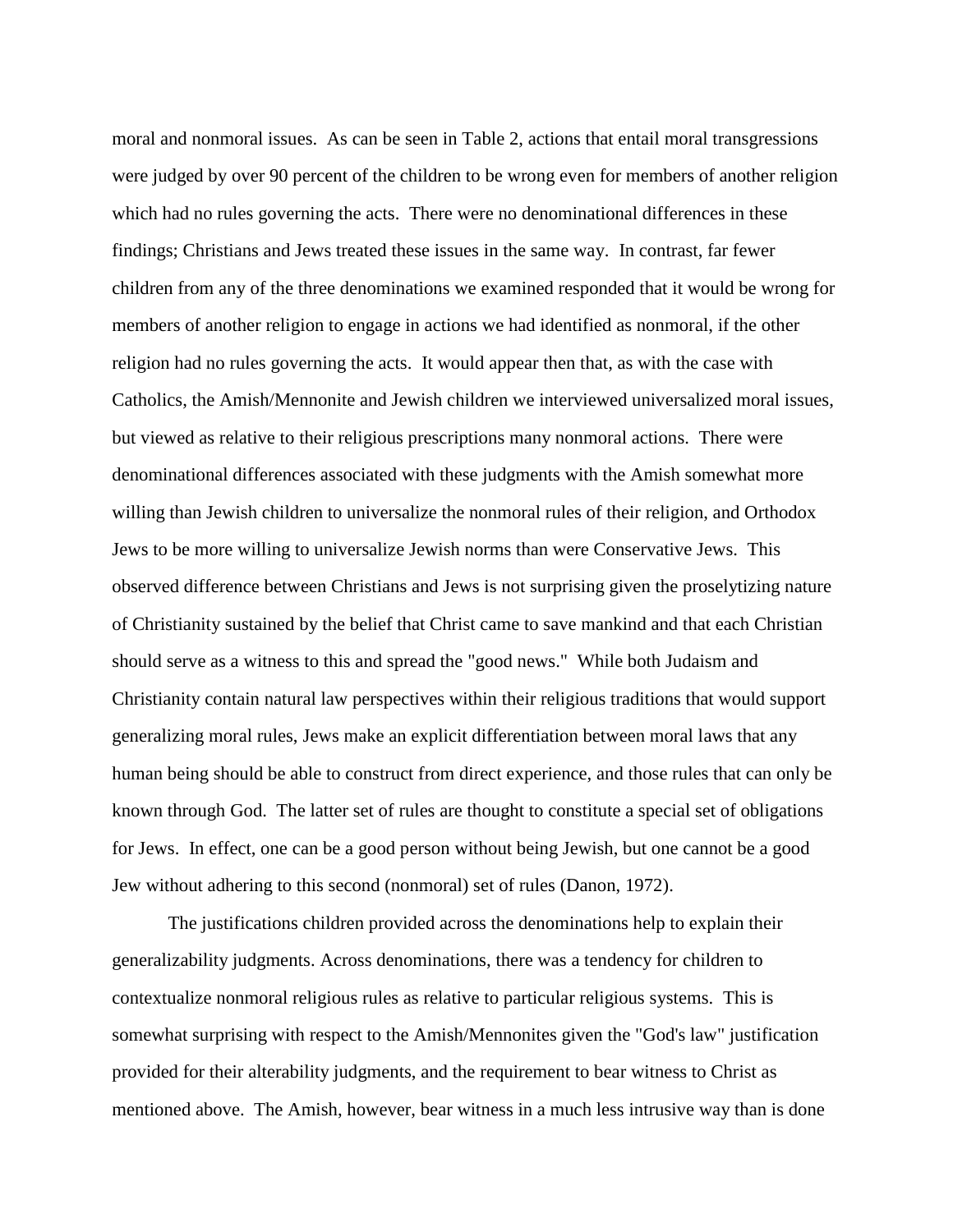moral and nonmoral issues. As can be seen in Table 2, actions that entail moral transgressions were judged by over 90 percent of the children to be wrong even for members of another religion which had no rules governing the acts. There were no denominational differences in these findings; Christians and Jews treated these issues in the same way. In contrast, far fewer children from any of the three denominations we examined responded that it would be wrong for members of another religion to engage in actions we had identified as nonmoral, if the other religion had no rules governing the acts. It would appear then that, as with the case with Catholics, the Amish/Mennonite and Jewish children we interviewed universalized moral issues, but viewed as relative to their religious prescriptions many nonmoral actions. There were denominational differences associated with these judgments with the Amish somewhat more willing than Jewish children to universalize the nonmoral rules of their religion, and Orthodox Jews to be more willing to universalize Jewish norms than were Conservative Jews. This observed difference between Christians and Jews is not surprising given the proselytizing nature of Christianity sustained by the belief that Christ came to save mankind and that each Christian should serve as a witness to this and spread the "good news." While both Judaism and Christianity contain natural law perspectives within their religious traditions that would support generalizing moral rules, Jews make an explicit differentiation between moral laws that any human being should be able to construct from direct experience, and those rules that can only be known through God. The latter set of rules are thought to constitute a special set of obligations for Jews. In effect, one can be a good person without being Jewish, but one cannot be a good Jew without adhering to this second (nonmoral) set of rules (Danon, 1972).

The justifications children provided across the denominations help to explain their generalizability judgments. Across denominations, there was a tendency for children to contextualize nonmoral religious rules as relative to particular religious systems. This is somewhat surprising with respect to the Amish/Mennonites given the "God's law" justification provided for their alterability judgments, and the requirement to bear witness to Christ as mentioned above. The Amish, however, bear witness in a much less intrusive way than is done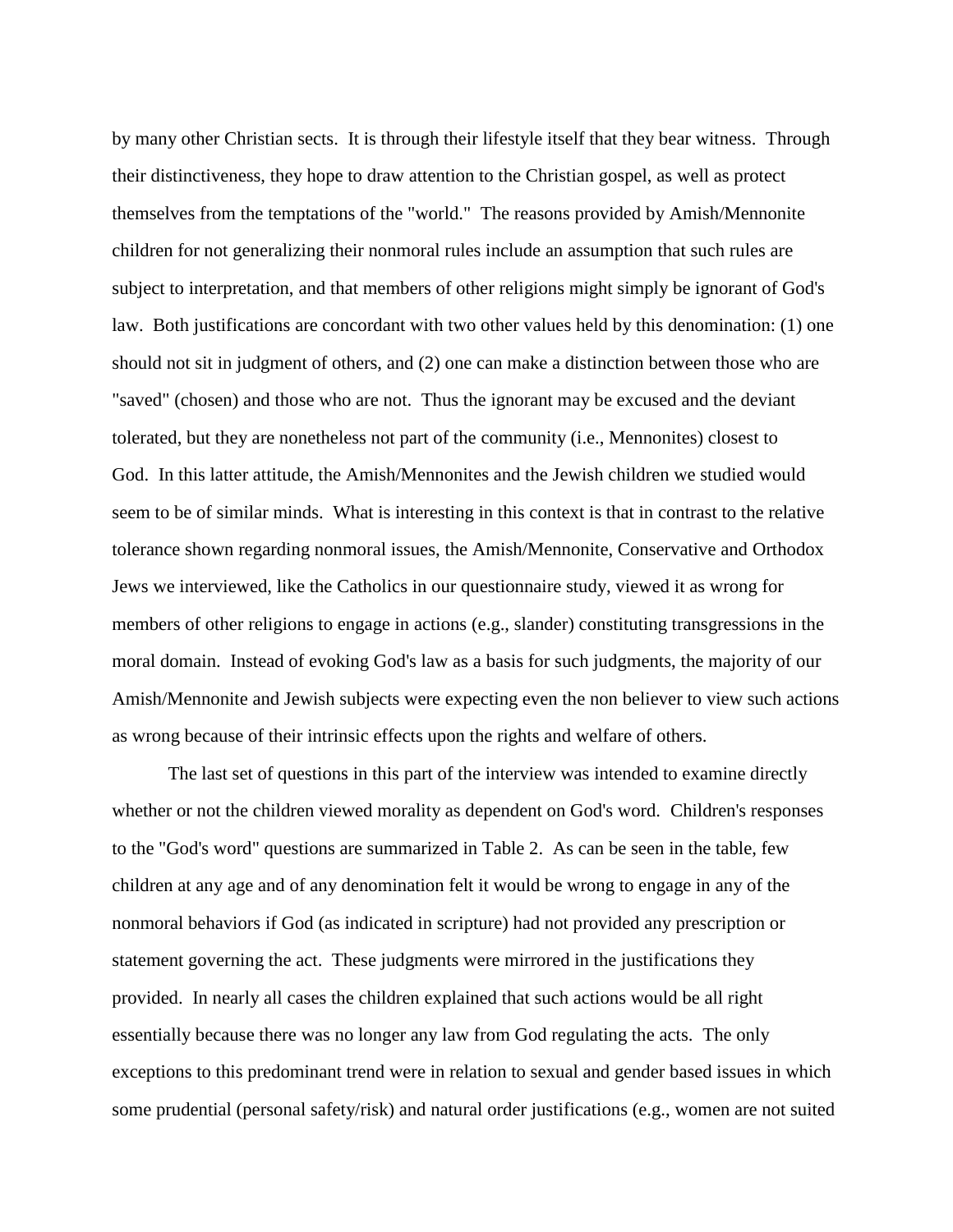by many other Christian sects. It is through their lifestyle itself that they bear witness. Through their distinctiveness, they hope to draw attention to the Christian gospel, as well as protect themselves from the temptations of the "world." The reasons provided by Amish/Mennonite children for not generalizing their nonmoral rules include an assumption that such rules are subject to interpretation, and that members of other religions might simply be ignorant of God's law. Both justifications are concordant with two other values held by this denomination: (1) one should not sit in judgment of others, and (2) one can make a distinction between those who are "saved" (chosen) and those who are not. Thus the ignorant may be excused and the deviant tolerated, but they are nonetheless not part of the community (i.e., Mennonites) closest to God. In this latter attitude, the Amish/Mennonites and the Jewish children we studied would seem to be of similar minds. What is interesting in this context is that in contrast to the relative tolerance shown regarding nonmoral issues, the Amish/Mennonite, Conservative and Orthodox Jews we interviewed, like the Catholics in our questionnaire study, viewed it as wrong for members of other religions to engage in actions (e.g., slander) constituting transgressions in the moral domain. Instead of evoking God's law as a basis for such judgments, the majority of our Amish/Mennonite and Jewish subjects were expecting even the non believer to view such actions as wrong because of their intrinsic effects upon the rights and welfare of others.

The last set of questions in this part of the interview was intended to examine directly whether or not the children viewed morality as dependent on God's word. Children's responses to the "God's word" questions are summarized in Table 2. As can be seen in the table, few children at any age and of any denomination felt it would be wrong to engage in any of the nonmoral behaviors if God (as indicated in scripture) had not provided any prescription or statement governing the act. These judgments were mirrored in the justifications they provided. In nearly all cases the children explained that such actions would be all right essentially because there was no longer any law from God regulating the acts. The only exceptions to this predominant trend were in relation to sexual and gender based issues in which some prudential (personal safety/risk) and natural order justifications (e.g., women are not suited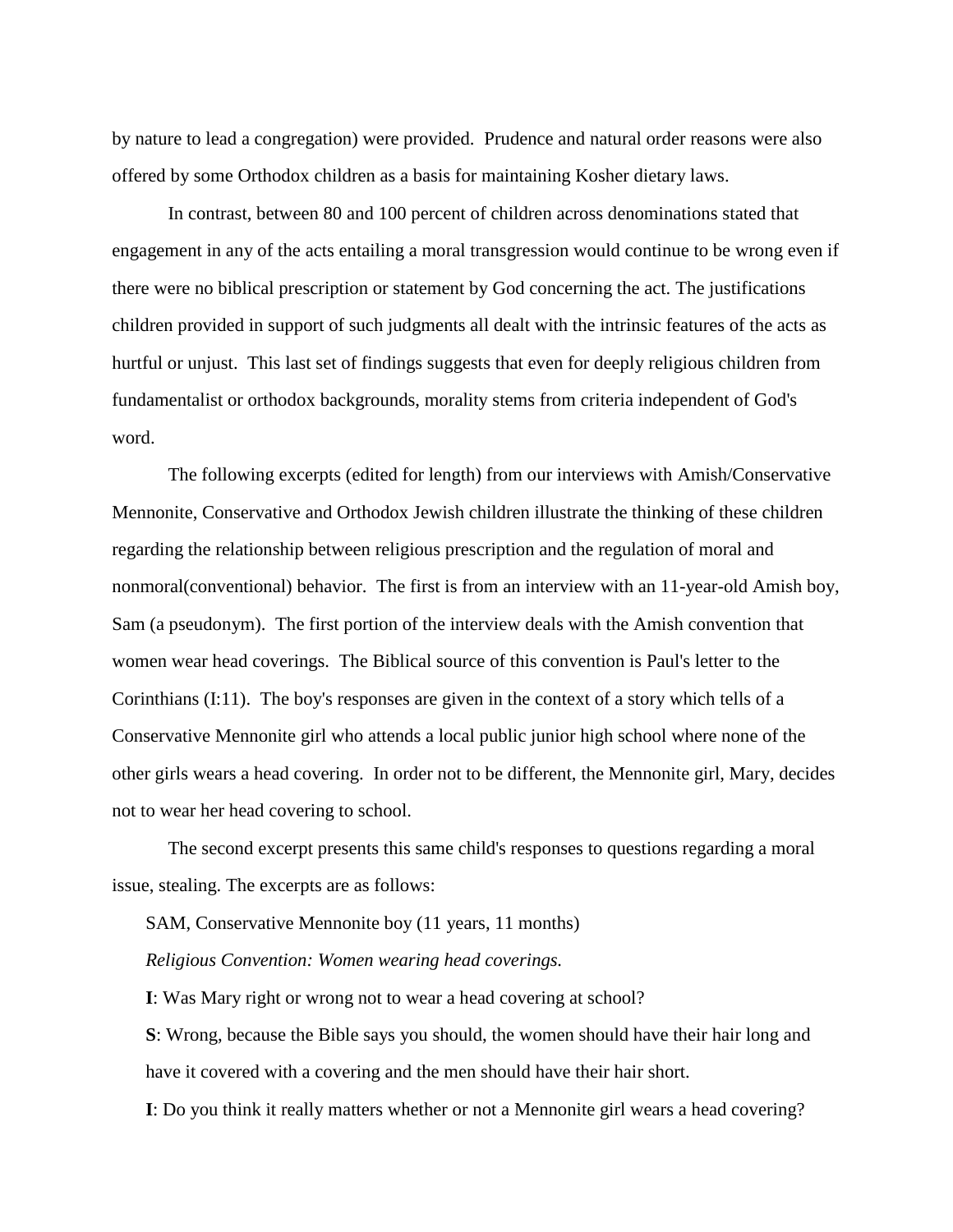by nature to lead a congregation) were provided. Prudence and natural order reasons were also offered by some Orthodox children as a basis for maintaining Kosher dietary laws.

In contrast, between 80 and 100 percent of children across denominations stated that engagement in any of the acts entailing a moral transgression would continue to be wrong even if there were no biblical prescription or statement by God concerning the act. The justifications children provided in support of such judgments all dealt with the intrinsic features of the acts as hurtful or unjust. This last set of findings suggests that even for deeply religious children from fundamentalist or orthodox backgrounds, morality stems from criteria independent of God's word.

The following excerpts (edited for length) from our interviews with Amish/Conservative Mennonite, Conservative and Orthodox Jewish children illustrate the thinking of these children regarding the relationship between religious prescription and the regulation of moral and nonmoral(conventional) behavior. The first is from an interview with an 11-year-old Amish boy, Sam (a pseudonym). The first portion of the interview deals with the Amish convention that women wear head coverings. The Biblical source of this convention is Paul's letter to the Corinthians (I:11). The boy's responses are given in the context of a story which tells of a Conservative Mennonite girl who attends a local public junior high school where none of the other girls wears a head covering. In order not to be different, the Mennonite girl, Mary, decides not to wear her head covering to school.

The second excerpt presents this same child's responses to questions regarding a moral issue, stealing. The excerpts are as follows:

SAM, Conservative Mennonite boy (11 years, 11 months) *Religious Convention: Women wearing head coverings.*

**I**: Was Mary right or wrong not to wear a head covering at school?

**S**: Wrong, because the Bible says you should, the women should have their hair long and have it covered with a covering and the men should have their hair short.

**I**: Do you think it really matters whether or not a Mennonite girl wears a head covering?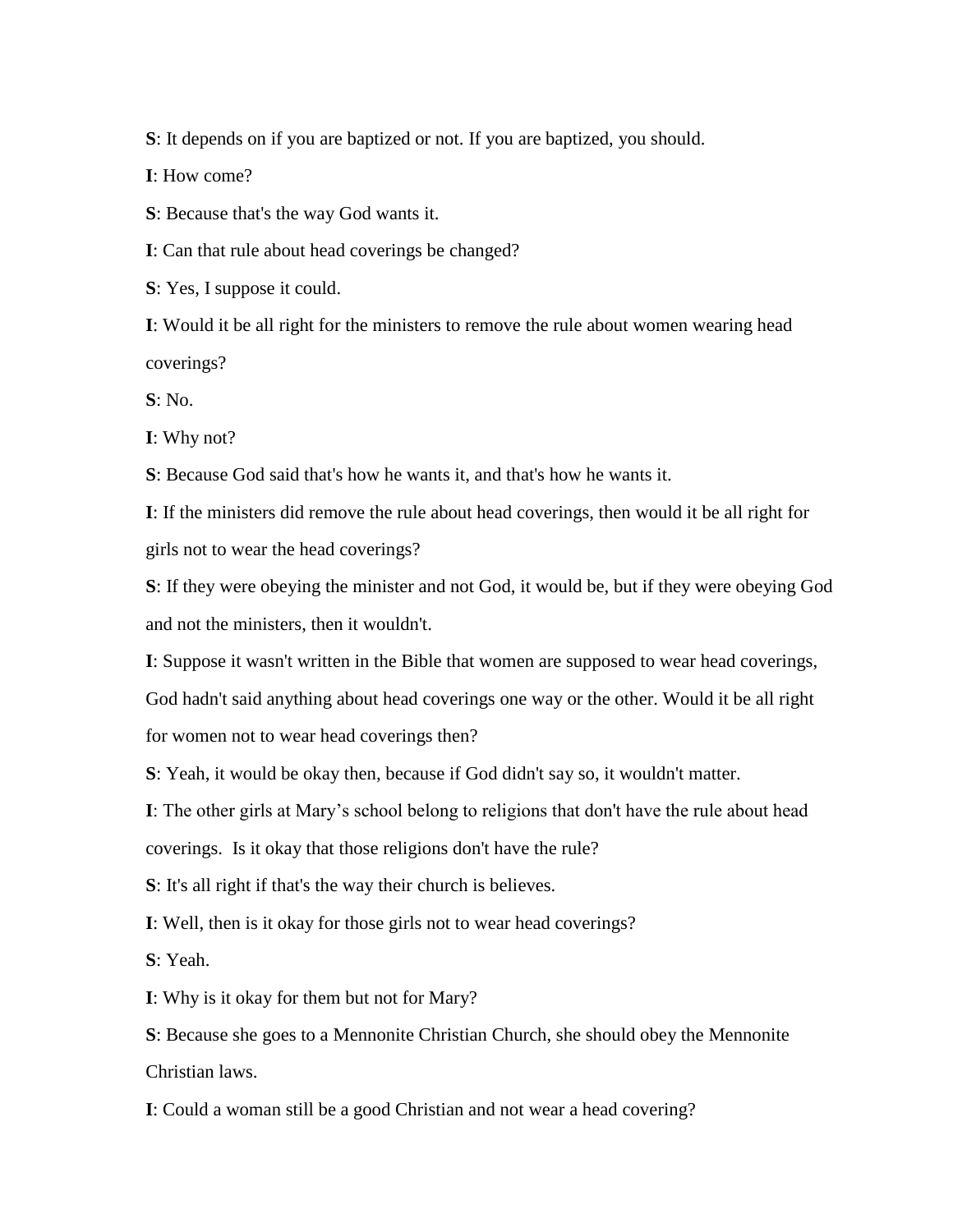**S**: It depends on if you are baptized or not. If you are baptized, you should.

**I**: How come?

**S**: Because that's the way God wants it.

**I**: Can that rule about head coverings be changed?

**S**: Yes, I suppose it could.

**I**: Would it be all right for the ministers to remove the rule about women wearing head coverings?

**S**: No.

**I**: Why not?

**S**: Because God said that's how he wants it, and that's how he wants it.

**I**: If the ministers did remove the rule about head coverings, then would it be all right for girls not to wear the head coverings?

**S**: If they were obeying the minister and not God, it would be, but if they were obeying God and not the ministers, then it wouldn't.

**I**: Suppose it wasn't written in the Bible that women are supposed to wear head coverings, God hadn't said anything about head coverings one way or the other. Would it be all right for women not to wear head coverings then?

**S**: Yeah, it would be okay then, because if God didn't say so, it wouldn't matter.

**I**: The other girls at Mary's school belong to religions that don't have the rule about head

coverings. Is it okay that those religions don't have the rule?

**S**: It's all right if that's the way their church is believes.

**I**: Well, then is it okay for those girls not to wear head coverings?

**S**: Yeah.

**I**: Why is it okay for them but not for Mary?

**S**: Because she goes to a Mennonite Christian Church, she should obey the Mennonite Christian laws.

**I**: Could a woman still be a good Christian and not wear a head covering?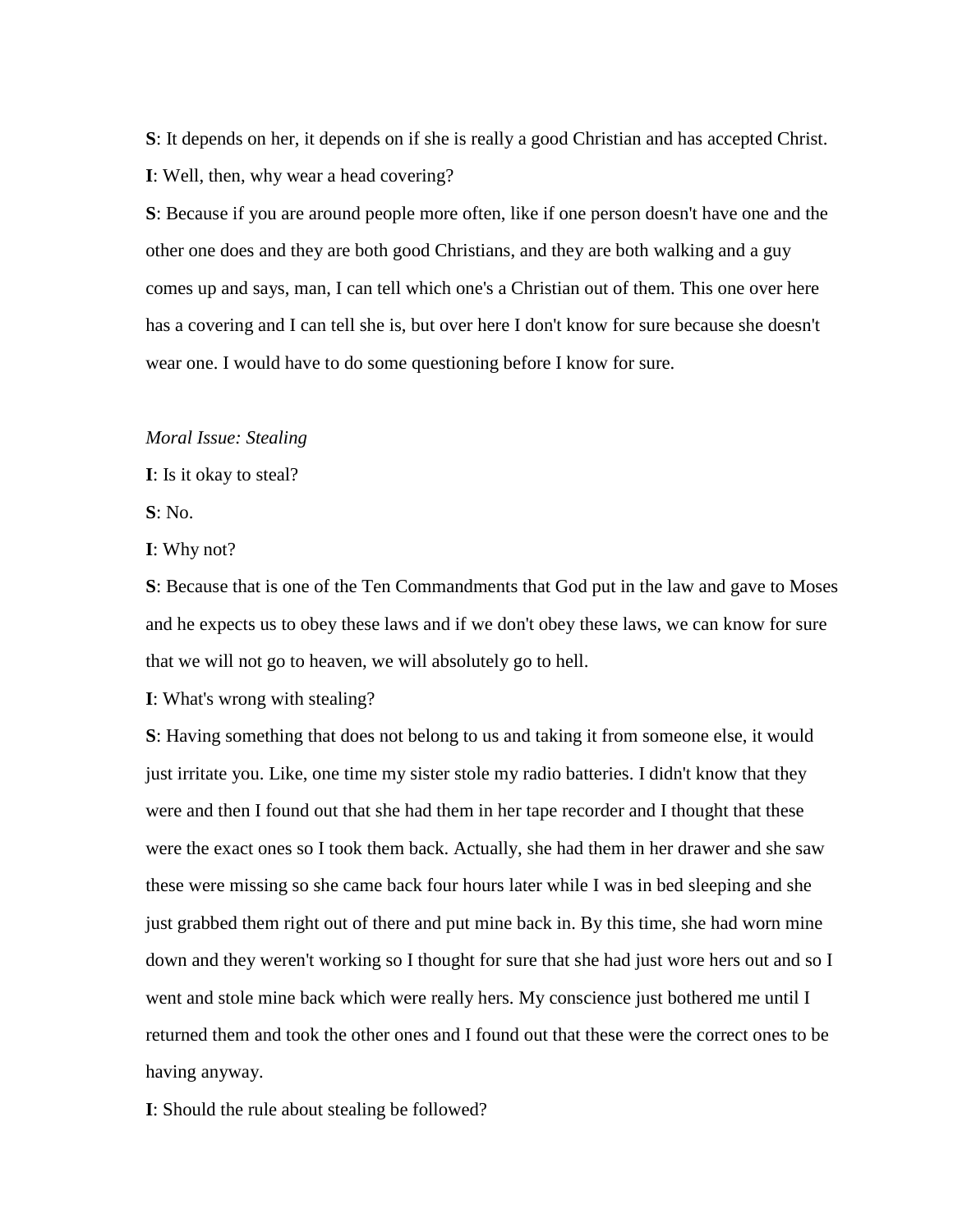**S**: It depends on her, it depends on if she is really a good Christian and has accepted Christ. **I**: Well, then, why wear a head covering?

**S**: Because if you are around people more often, like if one person doesn't have one and the other one does and they are both good Christians, and they are both walking and a guy comes up and says, man, I can tell which one's a Christian out of them. This one over here has a covering and I can tell she is, but over here I don't know for sure because she doesn't wear one. I would have to do some questioning before I know for sure.

### *Moral Issue: Stealing*

**I**: Is it okay to steal?

**S**: No.

**I**: Why not?

**S**: Because that is one of the Ten Commandments that God put in the law and gave to Moses and he expects us to obey these laws and if we don't obey these laws, we can know for sure that we will not go to heaven, we will absolutely go to hell.

**I**: What's wrong with stealing?

**S**: Having something that does not belong to us and taking it from someone else, it would just irritate you. Like, one time my sister stole my radio batteries. I didn't know that they were and then I found out that she had them in her tape recorder and I thought that these were the exact ones so I took them back. Actually, she had them in her drawer and she saw these were missing so she came back four hours later while I was in bed sleeping and she just grabbed them right out of there and put mine back in. By this time, she had worn mine down and they weren't working so I thought for sure that she had just wore hers out and so I went and stole mine back which were really hers. My conscience just bothered me until I returned them and took the other ones and I found out that these were the correct ones to be having anyway.

**I**: Should the rule about stealing be followed?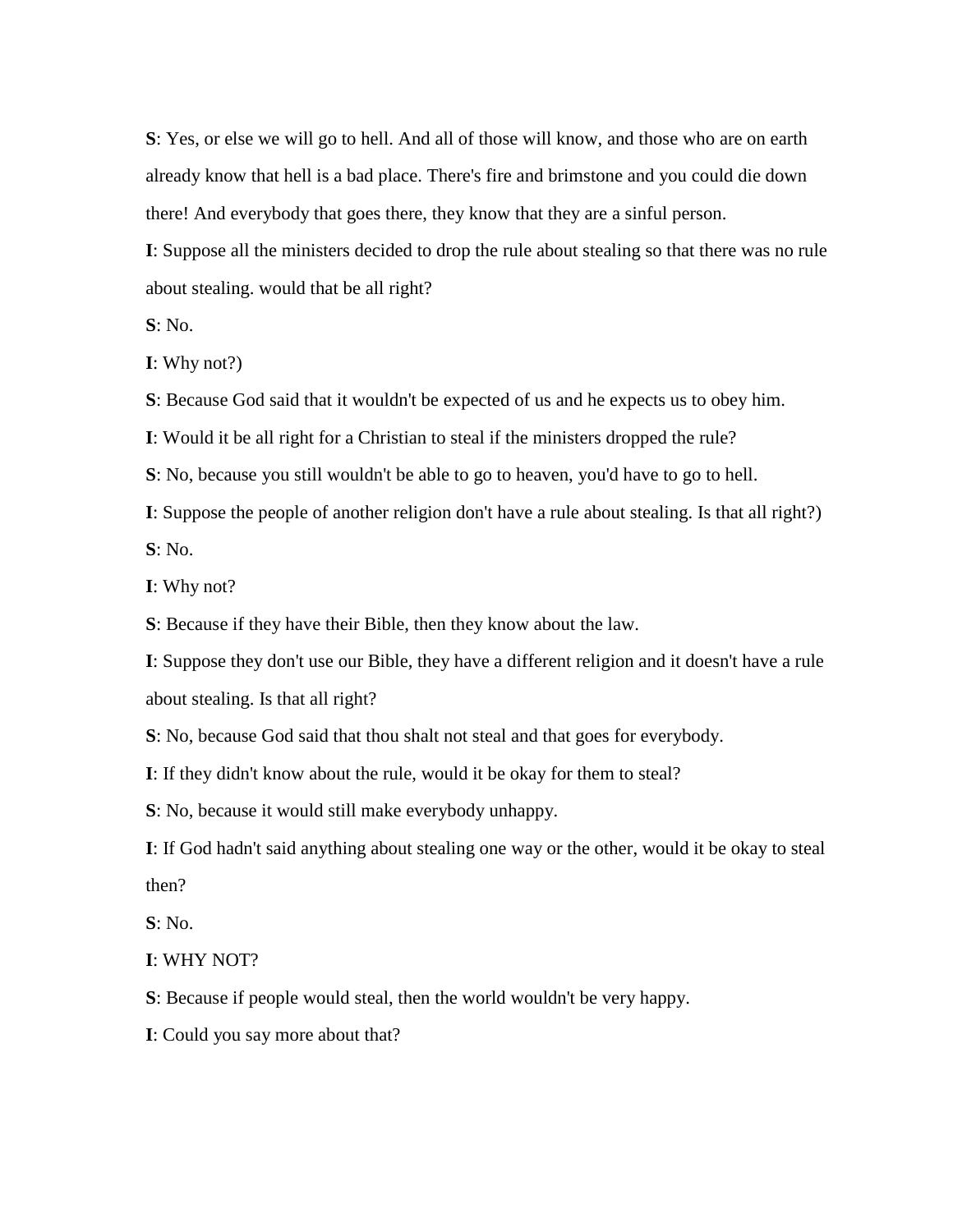**S**: Yes, or else we will go to hell. And all of those will know, and those who are on earth already know that hell is a bad place. There's fire and brimstone and you could die down there! And everybody that goes there, they know that they are a sinful person.

**I**: Suppose all the ministers decided to drop the rule about stealing so that there was no rule about stealing. would that be all right?

**S**: No.

**I**: Why not?)

**S**: Because God said that it wouldn't be expected of us and he expects us to obey him.

**I**: Would it be all right for a Christian to steal if the ministers dropped the rule?

**S**: No, because you still wouldn't be able to go to heaven, you'd have to go to hell.

**I**: Suppose the people of another religion don't have a rule about stealing. Is that all right?) **S**: No.

**I**: Why not?

**S**: Because if they have their Bible, then they know about the law.

**I**: Suppose they don't use our Bible, they have a different religion and it doesn't have a rule about stealing. Is that all right?

**S**: No, because God said that thou shalt not steal and that goes for everybody.

**I**: If they didn't know about the rule, would it be okay for them to steal?

**S**: No, because it would still make everybody unhappy.

**I**: If God hadn't said anything about stealing one way or the other, would it be okay to steal then?

**S**: No.

**I**: WHY NOT?

**S**: Because if people would steal, then the world wouldn't be very happy.

**I**: Could you say more about that?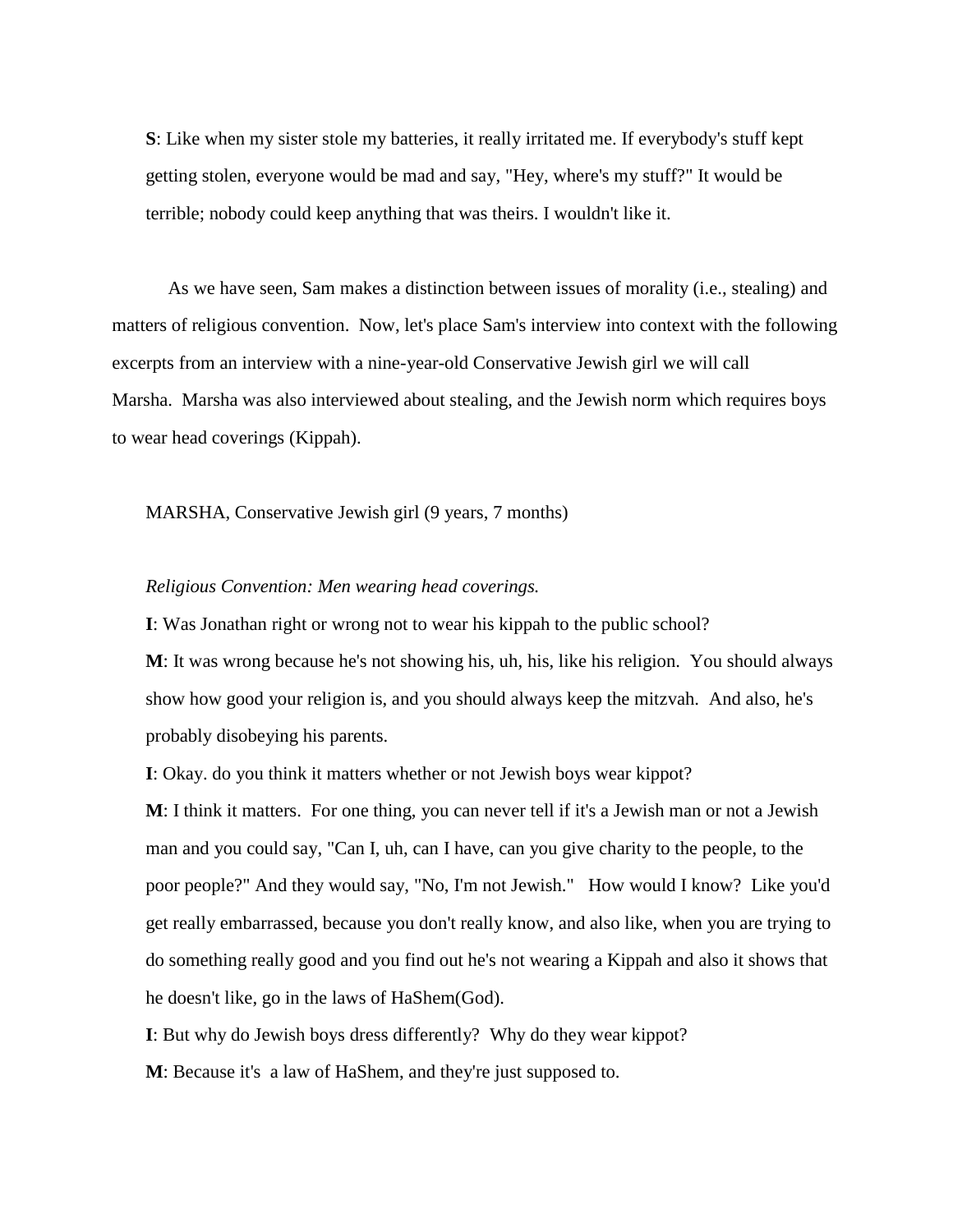**S**: Like when my sister stole my batteries, it really irritated me. If everybody's stuff kept getting stolen, everyone would be mad and say, "Hey, where's my stuff?" It would be terrible; nobody could keep anything that was theirs. I wouldn't like it.

As we have seen, Sam makes a distinction between issues of morality (i.e., stealing) and matters of religious convention. Now, let's place Sam's interview into context with the following excerpts from an interview with a nine-year-old Conservative Jewish girl we will call Marsha. Marsha was also interviewed about stealing, and the Jewish norm which requires boys to wear head coverings (Kippah).

MARSHA, Conservative Jewish girl (9 years, 7 months)

### *Religious Convention: Men wearing head coverings.*

**I**: Was Jonathan right or wrong not to wear his kippah to the public school?

**M**: It was wrong because he's not showing his, uh, his, like his religion. You should always show how good your religion is, and you should always keep the mitzvah. And also, he's probably disobeying his parents.

**I**: Okay. do you think it matters whether or not Jewish boys wear kippot?

**M**: I think it matters. For one thing, you can never tell if it's a Jewish man or not a Jewish man and you could say, "Can I, uh, can I have, can you give charity to the people, to the poor people?" And they would say, "No, I'm not Jewish." How would I know? Like you'd get really embarrassed, because you don't really know, and also like, when you are trying to do something really good and you find out he's not wearing a Kippah and also it shows that he doesn't like, go in the laws of HaShem(God).

**I**: But why do Jewish boys dress differently? Why do they wear kippot?

**M**: Because it's a law of HaShem, and they're just supposed to.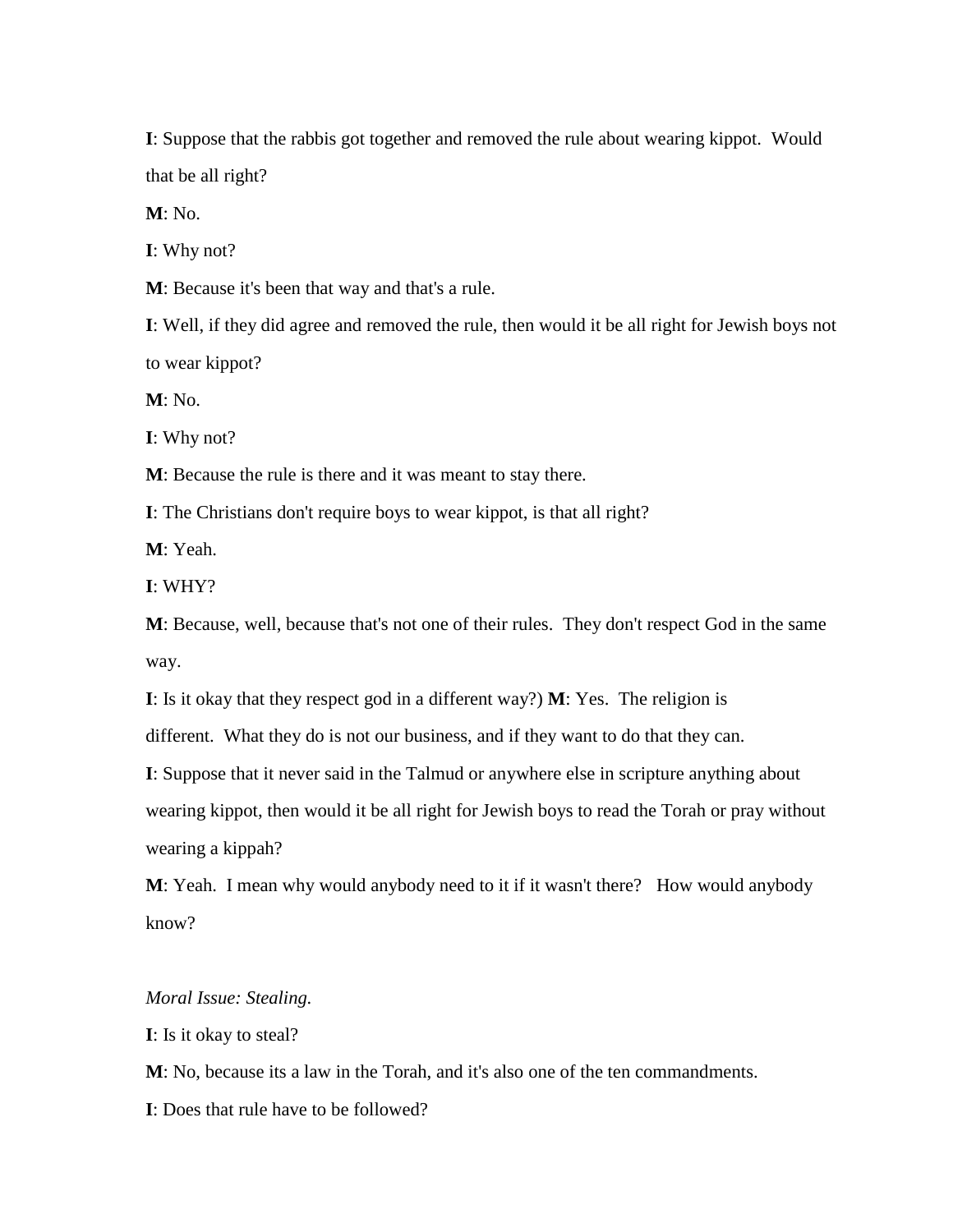**I**: Suppose that the rabbis got together and removed the rule about wearing kippot. Would that be all right?

**M**: No.

**I**: Why not?

**M**: Because it's been that way and that's a rule.

**I**: Well, if they did agree and removed the rule, then would it be all right for Jewish boys not to wear kippot?

**M**: No.

**I**: Why not?

**M**: Because the rule is there and it was meant to stay there.

**I**: The Christians don't require boys to wear kippot, is that all right?

**M**: Yeah.

**I**: WHY?

**M**: Because, well, because that's not one of their rules. They don't respect God in the same way.

**I**: Is it okay that they respect god in a different way?) **M**: Yes. The religion is

different. What they do is not our business, and if they want to do that they can.

**I**: Suppose that it never said in the Talmud or anywhere else in scripture anything about wearing kippot, then would it be all right for Jewish boys to read the Torah or pray without wearing a kippah?

**M**: Yeah. I mean why would anybody need to it if it wasn't there? How would anybody know?

*Moral Issue: Stealing.*

**I**: Is it okay to steal?

**M**: No, because its a law in the Torah, and it's also one of the ten commandments.

**I**: Does that rule have to be followed?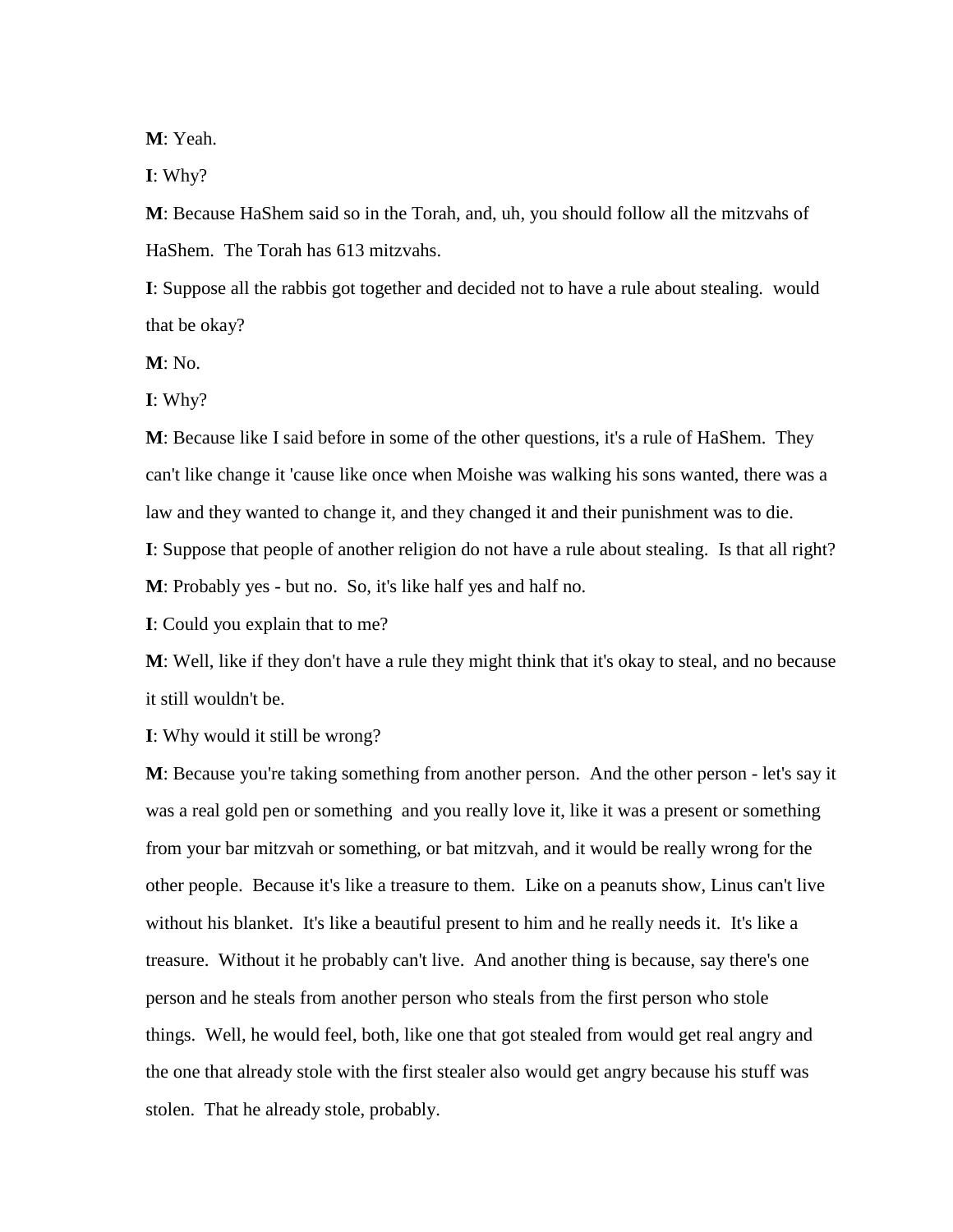**M**: Yeah.

**I**: Why?

**M**: Because HaShem said so in the Torah, and, uh, you should follow all the mitzvahs of HaShem. The Torah has 613 mitzvahs.

**I**: Suppose all the rabbis got together and decided not to have a rule about stealing. would that be okay?

**M**: No.

**I**: Why?

**M**: Because like I said before in some of the other questions, it's a rule of HaShem. They can't like change it 'cause like once when Moishe was walking his sons wanted, there was a law and they wanted to change it, and they changed it and their punishment was to die.

**I**: Suppose that people of another religion do not have a rule about stealing. Is that all right? **M**: Probably yes - but no. So, it's like half yes and half no.

**I**: Could you explain that to me?

**M**: Well, like if they don't have a rule they might think that it's okay to steal, and no because it still wouldn't be.

**I**: Why would it still be wrong?

**M**: Because you're taking something from another person. And the other person - let's say it was a real gold pen or something and you really love it, like it was a present or something from your bar mitzvah or something, or bat mitzvah, and it would be really wrong for the other people. Because it's like a treasure to them. Like on a peanuts show, Linus can't live without his blanket. It's like a beautiful present to him and he really needs it. It's like a treasure. Without it he probably can't live. And another thing is because, say there's one person and he steals from another person who steals from the first person who stole things. Well, he would feel, both, like one that got stealed from would get real angry and the one that already stole with the first stealer also would get angry because his stuff was stolen. That he already stole, probably.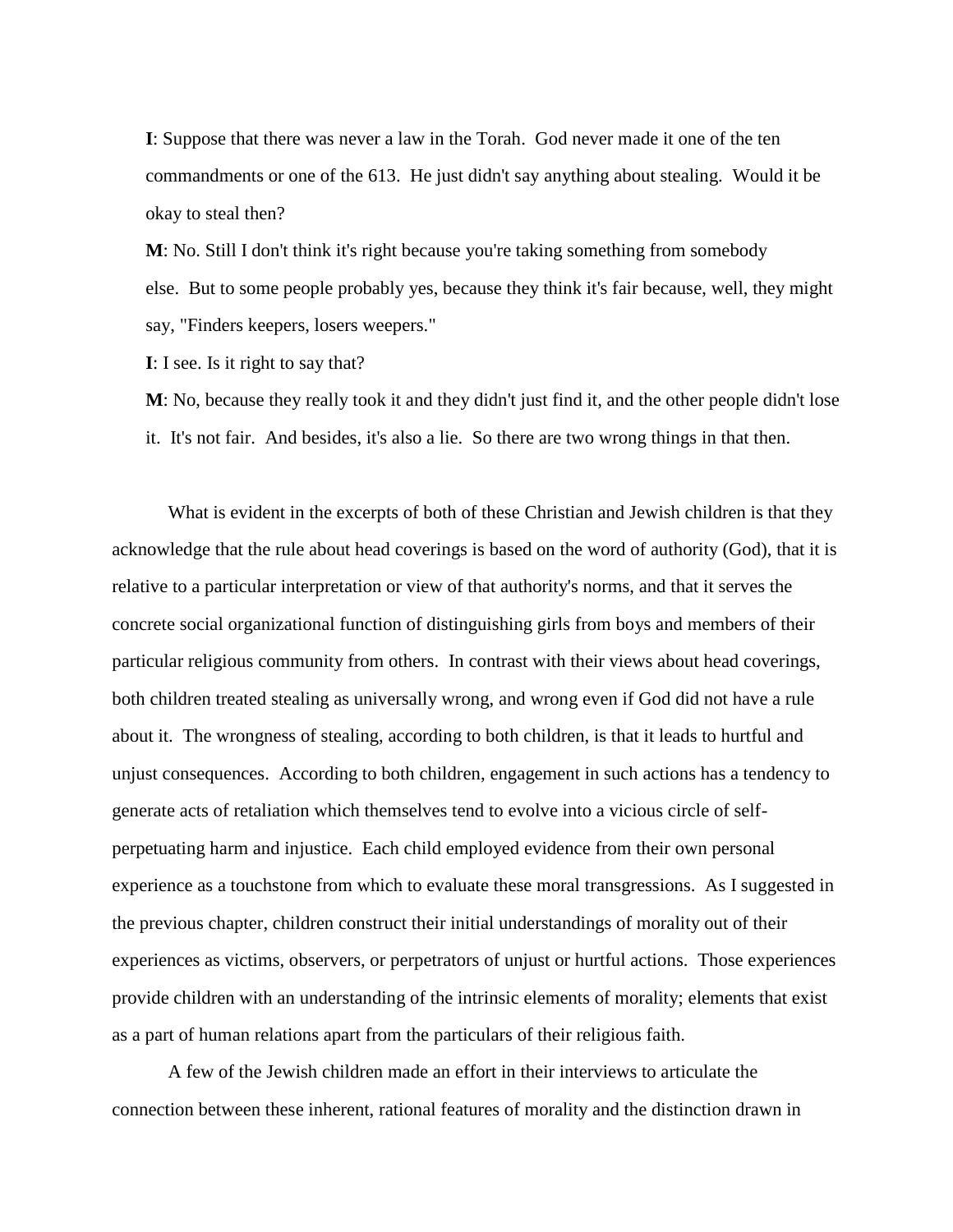**I**: Suppose that there was never a law in the Torah. God never made it one of the ten commandments or one of the 613. He just didn't say anything about stealing. Would it be okay to steal then?

**M**: No. Still I don't think it's right because you're taking something from somebody else. But to some people probably yes, because they think it's fair because, well, they might say, "Finders keepers, losers weepers."

**I**: I see. Is it right to say that?

**M**: No, because they really took it and they didn't just find it, and the other people didn't lose it. It's not fair. And besides, it's also a lie. So there are two wrong things in that then.

What is evident in the excerpts of both of these Christian and Jewish children is that they acknowledge that the rule about head coverings is based on the word of authority (God), that it is relative to a particular interpretation or view of that authority's norms, and that it serves the concrete social organizational function of distinguishing girls from boys and members of their particular religious community from others. In contrast with their views about head coverings, both children treated stealing as universally wrong, and wrong even if God did not have a rule about it. The wrongness of stealing, according to both children, is that it leads to hurtful and unjust consequences. According to both children, engagement in such actions has a tendency to generate acts of retaliation which themselves tend to evolve into a vicious circle of selfperpetuating harm and injustice. Each child employed evidence from their own personal experience as a touchstone from which to evaluate these moral transgressions. As I suggested in the previous chapter, children construct their initial understandings of morality out of their experiences as victims, observers, or perpetrators of unjust or hurtful actions. Those experiences provide children with an understanding of the intrinsic elements of morality; elements that exist as a part of human relations apart from the particulars of their religious faith.

A few of the Jewish children made an effort in their interviews to articulate the connection between these inherent, rational features of morality and the distinction drawn in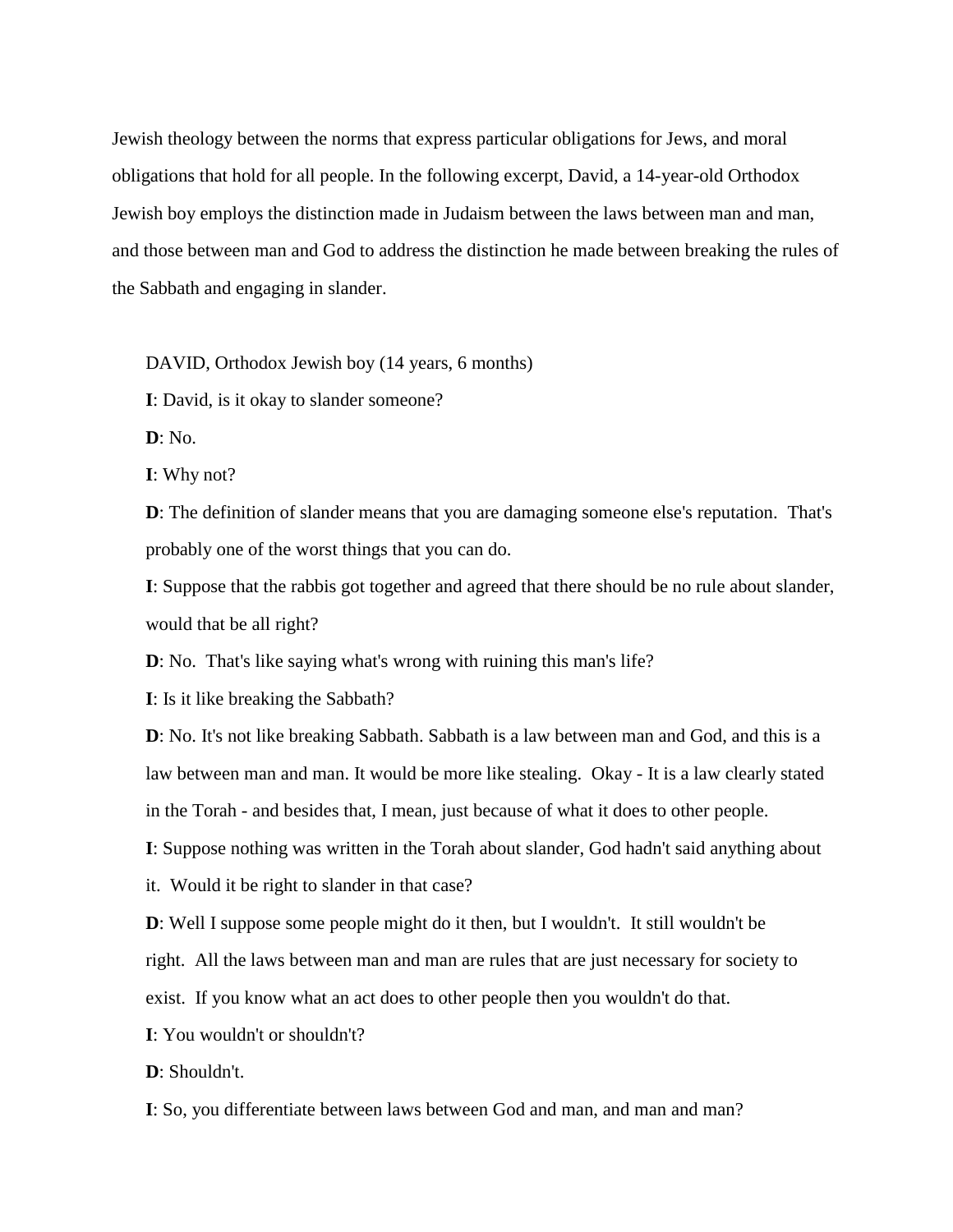Jewish theology between the norms that express particular obligations for Jews, and moral obligations that hold for all people. In the following excerpt, David, a 14-year-old Orthodox Jewish boy employs the distinction made in Judaism between the laws between man and man, and those between man and God to address the distinction he made between breaking the rules of the Sabbath and engaging in slander.

DAVID, Orthodox Jewish boy (14 years, 6 months)

**I**: David, is it okay to slander someone?

**D**: No.

**I**: Why not?

**D**: The definition of slander means that you are damaging someone else's reputation. That's probably one of the worst things that you can do.

**I**: Suppose that the rabbis got together and agreed that there should be no rule about slander, would that be all right?

**D**: No. That's like saying what's wrong with ruining this man's life?

**I**: Is it like breaking the Sabbath?

**D**: No. It's not like breaking Sabbath. Sabbath is a law between man and God, and this is a law between man and man. It would be more like stealing. Okay - It is a law clearly stated in the Torah - and besides that, I mean, just because of what it does to other people.

**I**: Suppose nothing was written in the Torah about slander, God hadn't said anything about

it. Would it be right to slander in that case?

**D**: Well I suppose some people might do it then, but I wouldn't. It still wouldn't be

right. All the laws between man and man are rules that are just necessary for society to

exist. If you know what an act does to other people then you wouldn't do that.

**I**: You wouldn't or shouldn't?

**D**: Shouldn't.

**I**: So, you differentiate between laws between God and man, and man and man?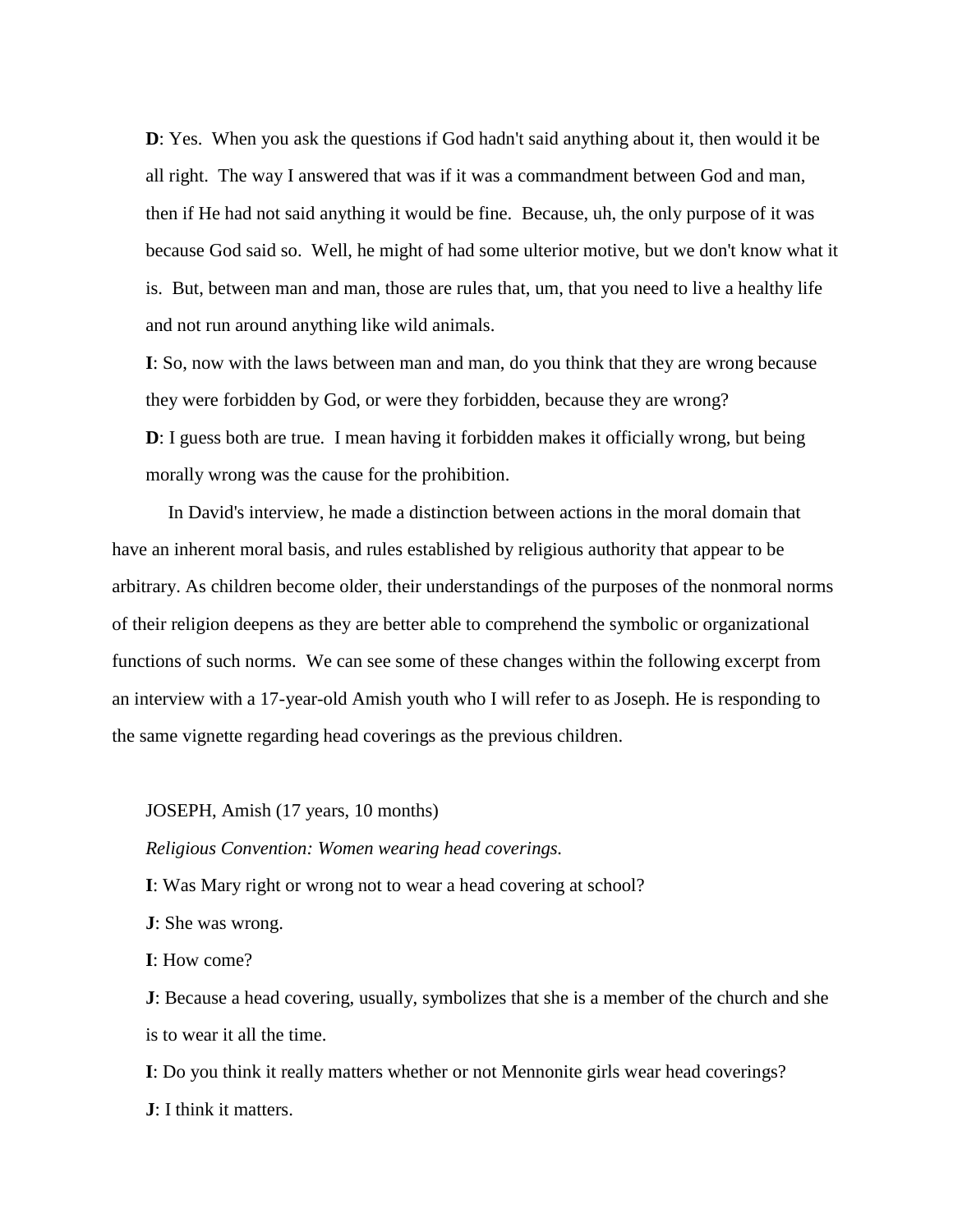**D**: Yes. When you ask the questions if God hadn't said anything about it, then would it be all right. The way I answered that was if it was a commandment between God and man, then if He had not said anything it would be fine. Because, uh, the only purpose of it was because God said so. Well, he might of had some ulterior motive, but we don't know what it is. But, between man and man, those are rules that, um, that you need to live a healthy life and not run around anything like wild animals.

**I**: So, now with the laws between man and man, do you think that they are wrong because they were forbidden by God, or were they forbidden, because they are wrong? **D**: I guess both are true. I mean having it forbidden makes it officially wrong, but being morally wrong was the cause for the prohibition.

In David's interview, he made a distinction between actions in the moral domain that have an inherent moral basis, and rules established by religious authority that appear to be arbitrary. As children become older, their understandings of the purposes of the nonmoral norms of their religion deepens as they are better able to comprehend the symbolic or organizational functions of such norms. We can see some of these changes within the following excerpt from an interview with a 17-year-old Amish youth who I will refer to as Joseph. He is responding to the same vignette regarding head coverings as the previous children.

### JOSEPH, Amish (17 years, 10 months)

## *Religious Convention: Women wearing head coverings.*

**I**: Was Mary right or wrong not to wear a head covering at school?

**J**: She was wrong.

**I**: How come?

**J**: Because a head covering, usually, symbolizes that she is a member of the church and she is to wear it all the time.

**I**: Do you think it really matters whether or not Mennonite girls wear head coverings? **J**: I think it matters.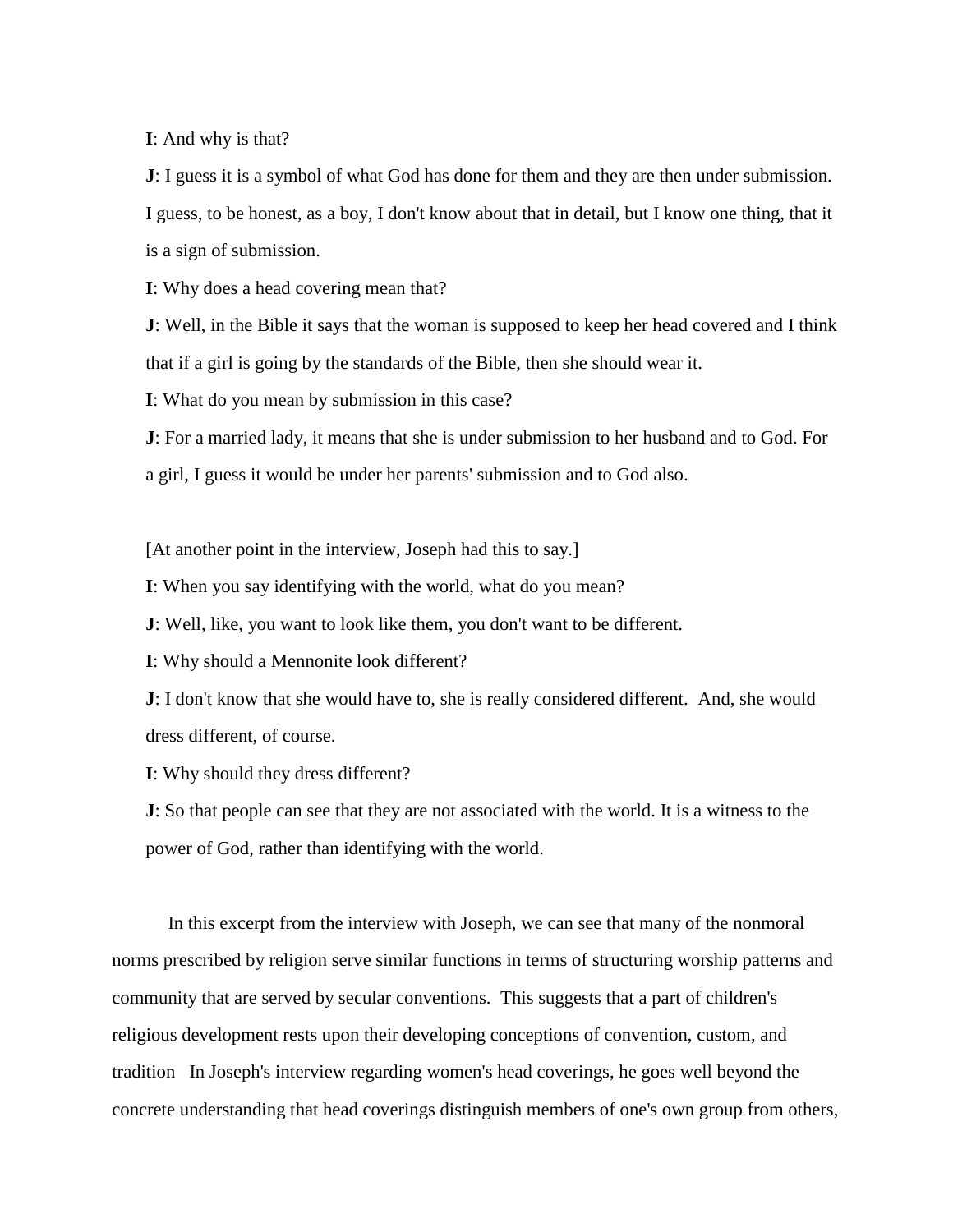**I**: And why is that?

**J**: I guess it is a symbol of what God has done for them and they are then under submission. I guess, to be honest, as a boy, I don't know about that in detail, but I know one thing, that it is a sign of submission.

**I**: Why does a head covering mean that?

**J**: Well, in the Bible it says that the woman is supposed to keep her head covered and I think that if a girl is going by the standards of the Bible, then she should wear it.

**I**: What do you mean by submission in this case?

**J**: For a married lady, it means that she is under submission to her husband and to God. For a girl, I guess it would be under her parents' submission and to God also.

[At another point in the interview, Joseph had this to say.]

**I**: When you say identifying with the world, what do you mean?

**J**: Well, like, you want to look like them, you don't want to be different.

**I**: Why should a Mennonite look different?

**J**: I don't know that she would have to, she is really considered different. And, she would dress different, of course.

**I**: Why should they dress different?

**J**: So that people can see that they are not associated with the world. It is a witness to the power of God, rather than identifying with the world.

In this excerpt from the interview with Joseph, we can see that many of the nonmoral norms prescribed by religion serve similar functions in terms of structuring worship patterns and community that are served by secular conventions. This suggests that a part of children's religious development rests upon their developing conceptions of convention, custom, and tradition In Joseph's interview regarding women's head coverings, he goes well beyond the concrete understanding that head coverings distinguish members of one's own group from others,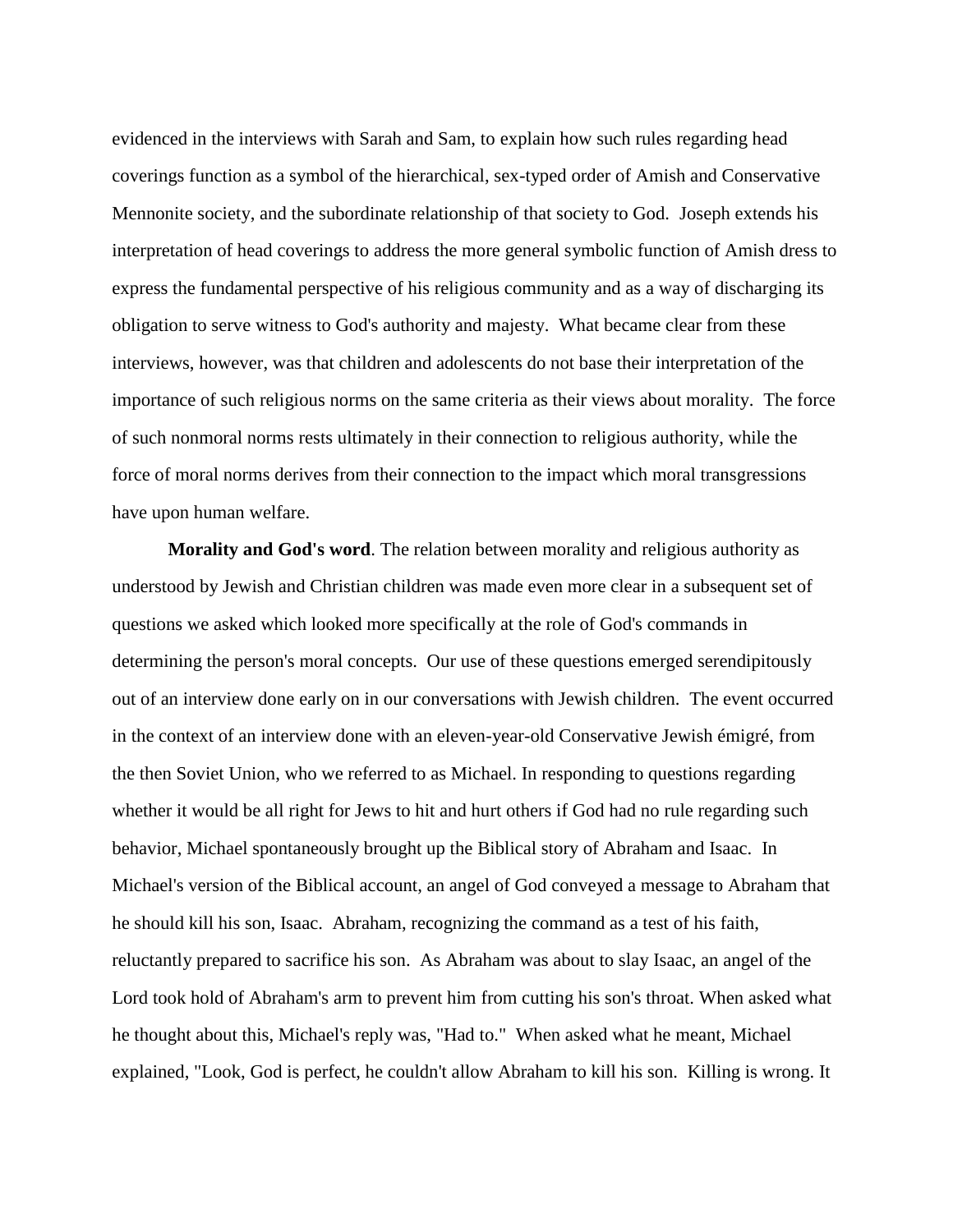evidenced in the interviews with Sarah and Sam, to explain how such rules regarding head coverings function as a symbol of the hierarchical, sex-typed order of Amish and Conservative Mennonite society, and the subordinate relationship of that society to God. Joseph extends his interpretation of head coverings to address the more general symbolic function of Amish dress to express the fundamental perspective of his religious community and as a way of discharging its obligation to serve witness to God's authority and majesty. What became clear from these interviews, however, was that children and adolescents do not base their interpretation of the importance of such religious norms on the same criteria as their views about morality. The force of such nonmoral norms rests ultimately in their connection to religious authority, while the force of moral norms derives from their connection to the impact which moral transgressions have upon human welfare.

**Morality and God's word**. The relation between morality and religious authority as understood by Jewish and Christian children was made even more clear in a subsequent set of questions we asked which looked more specifically at the role of God's commands in determining the person's moral concepts. Our use of these questions emerged serendipitously out of an interview done early on in our conversations with Jewish children. The event occurred in the context of an interview done with an eleven-year-old Conservative Jewish émigré, from the then Soviet Union, who we referred to as Michael. In responding to questions regarding whether it would be all right for Jews to hit and hurt others if God had no rule regarding such behavior, Michael spontaneously brought up the Biblical story of Abraham and Isaac. In Michael's version of the Biblical account, an angel of God conveyed a message to Abraham that he should kill his son, Isaac. Abraham, recognizing the command as a test of his faith, reluctantly prepared to sacrifice his son. As Abraham was about to slay Isaac, an angel of the Lord took hold of Abraham's arm to prevent him from cutting his son's throat. When asked what he thought about this, Michael's reply was, "Had to." When asked what he meant, Michael explained, "Look, God is perfect, he couldn't allow Abraham to kill his son. Killing is wrong. It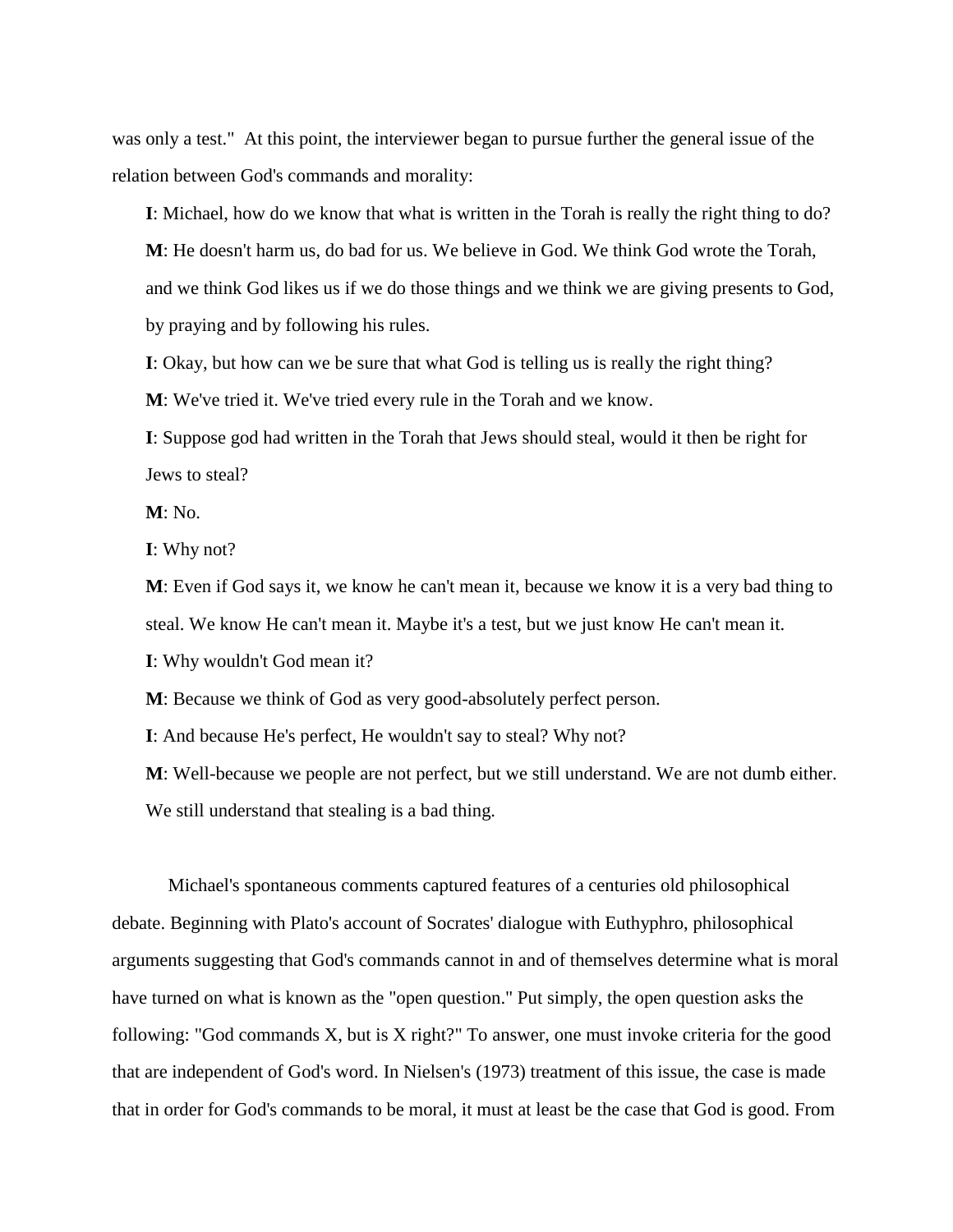was only a test." At this point, the interviewer began to pursue further the general issue of the relation between God's commands and morality:

**I**: Michael, how do we know that what is written in the Torah is really the right thing to do? **M**: He doesn't harm us, do bad for us. We believe in God. We think God wrote the Torah, and we think God likes us if we do those things and we think we are giving presents to God, by praying and by following his rules.

**I**: Okay, but how can we be sure that what God is telling us is really the right thing? **M**: We've tried it. We've tried every rule in the Torah and we know.

**I**: Suppose god had written in the Torah that Jews should steal, would it then be right for Jews to steal?

**M**: No.

**I**: Why not?

**M**: Even if God says it, we know he can't mean it, because we know it is a very bad thing to steal. We know He can't mean it. Maybe it's a test, but we just know He can't mean it.

**I**: Why wouldn't God mean it?

**M**: Because we think of God as very good-absolutely perfect person.

**I**: And because He's perfect, He wouldn't say to steal? Why not?

**M**: Well-because we people are not perfect, but we still understand. We are not dumb either. We still understand that stealing is a bad thing.

Michael's spontaneous comments captured features of a centuries old philosophical debate. Beginning with Plato's account of Socrates' dialogue with Euthyphro, philosophical arguments suggesting that God's commands cannot in and of themselves determine what is moral have turned on what is known as the "open question." Put simply, the open question asks the following: "God commands X, but is X right?" To answer, one must invoke criteria for the good that are independent of God's word. In Nielsen's (1973) treatment of this issue, the case is made that in order for God's commands to be moral, it must at least be the case that God is good. From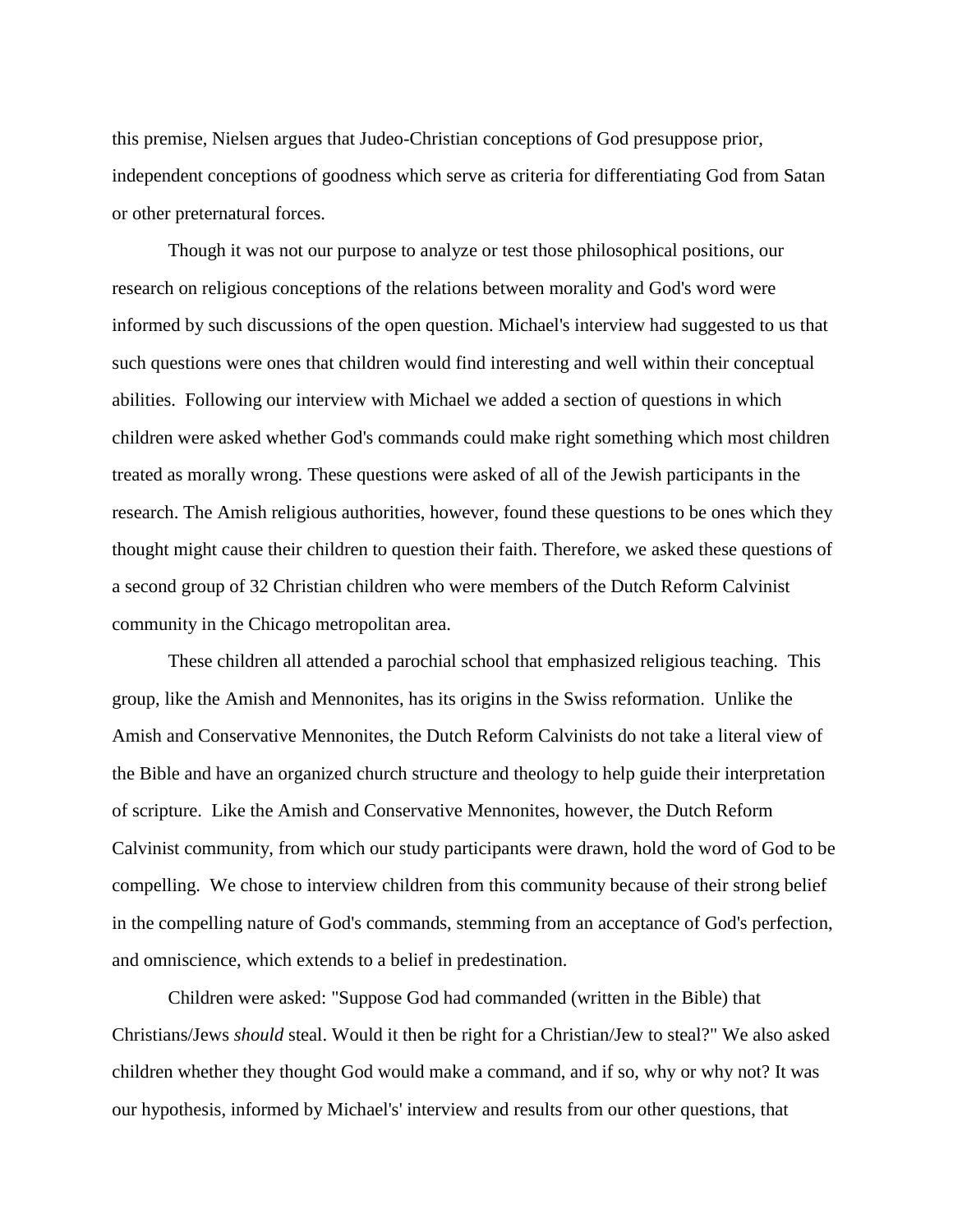this premise, Nielsen argues that Judeo-Christian conceptions of God presuppose prior, independent conceptions of goodness which serve as criteria for differentiating God from Satan or other preternatural forces.

Though it was not our purpose to analyze or test those philosophical positions, our research on religious conceptions of the relations between morality and God's word were informed by such discussions of the open question. Michael's interview had suggested to us that such questions were ones that children would find interesting and well within their conceptual abilities. Following our interview with Michael we added a section of questions in which children were asked whether God's commands could make right something which most children treated as morally wrong. These questions were asked of all of the Jewish participants in the research. The Amish religious authorities, however, found these questions to be ones which they thought might cause their children to question their faith. Therefore, we asked these questions of a second group of 32 Christian children who were members of the Dutch Reform Calvinist community in the Chicago metropolitan area.

These children all attended a parochial school that emphasized religious teaching. This group, like the Amish and Mennonites, has its origins in the Swiss reformation. Unlike the Amish and Conservative Mennonites, the Dutch Reform Calvinists do not take a literal view of the Bible and have an organized church structure and theology to help guide their interpretation of scripture. Like the Amish and Conservative Mennonites, however, the Dutch Reform Calvinist community, from which our study participants were drawn, hold the word of God to be compelling. We chose to interview children from this community because of their strong belief in the compelling nature of God's commands, stemming from an acceptance of God's perfection, and omniscience, which extends to a belief in predestination.

Children were asked: "Suppose God had commanded (written in the Bible) that Christians/Jews *should* steal. Would it then be right for a Christian/Jew to steal?" We also asked children whether they thought God would make a command, and if so, why or why not? It was our hypothesis, informed by Michael's' interview and results from our other questions, that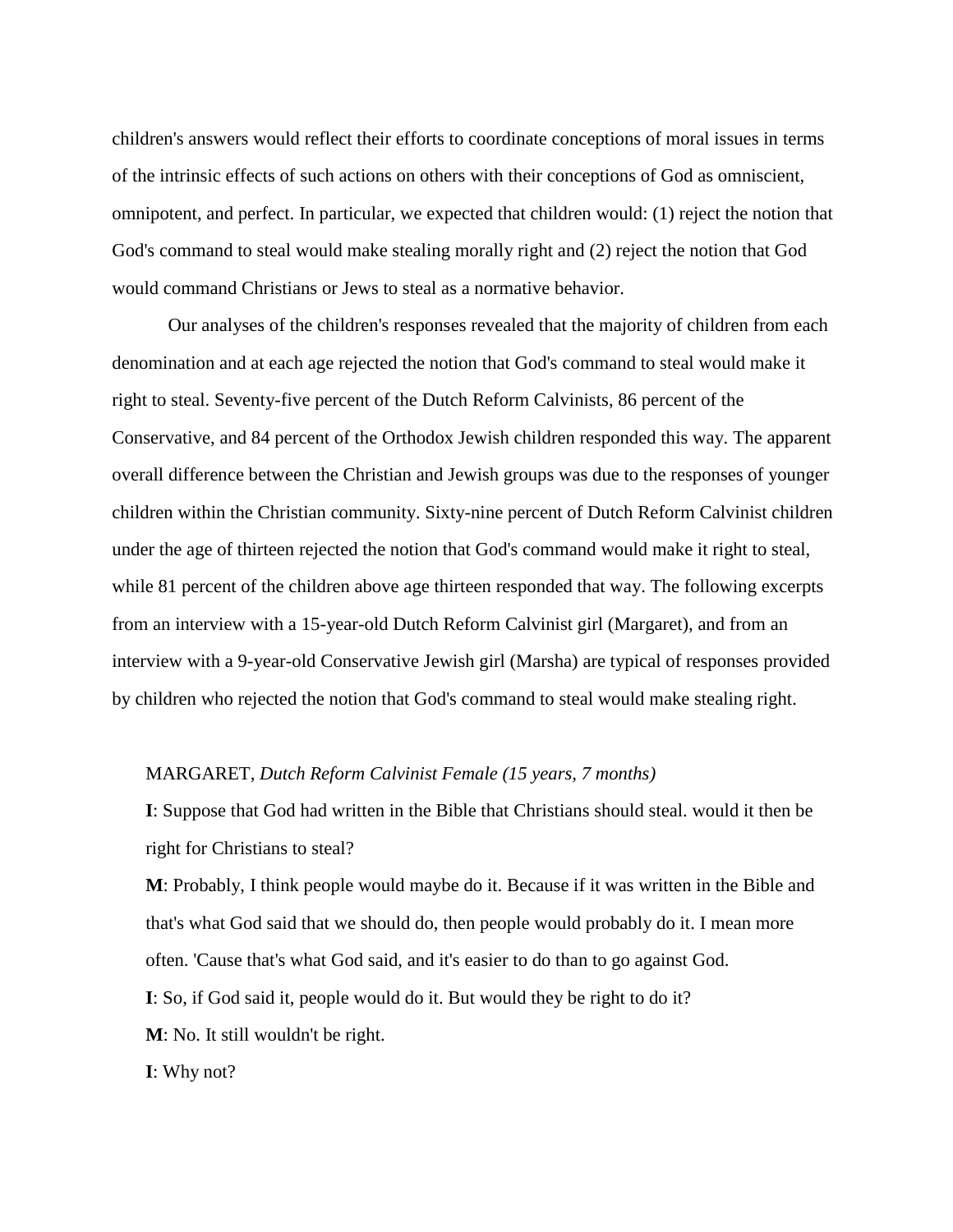children's answers would reflect their efforts to coordinate conceptions of moral issues in terms of the intrinsic effects of such actions on others with their conceptions of God as omniscient, omnipotent, and perfect. In particular, we expected that children would: (1) reject the notion that God's command to steal would make stealing morally right and (2) reject the notion that God would command Christians or Jews to steal as a normative behavior.

Our analyses of the children's responses revealed that the majority of children from each denomination and at each age rejected the notion that God's command to steal would make it right to steal. Seventy-five percent of the Dutch Reform Calvinists, 86 percent of the Conservative, and 84 percent of the Orthodox Jewish children responded this way. The apparent overall difference between the Christian and Jewish groups was due to the responses of younger children within the Christian community. Sixty-nine percent of Dutch Reform Calvinist children under the age of thirteen rejected the notion that God's command would make it right to steal, while 81 percent of the children above age thirteen responded that way. The following excerpts from an interview with a 15-year-old Dutch Reform Calvinist girl (Margaret), and from an interview with a 9-year-old Conservative Jewish girl (Marsha) are typical of responses provided by children who rejected the notion that God's command to steal would make stealing right.

## MARGARET, *Dutch Reform Calvinist Female (15 years, 7 months)*

**I**: Suppose that God had written in the Bible that Christians should steal. would it then be right for Christians to steal?

**M**: Probably, I think people would maybe do it. Because if it was written in the Bible and that's what God said that we should do, then people would probably do it. I mean more often. 'Cause that's what God said, and it's easier to do than to go against God. **I**: So, if God said it, people would do it. But would they be right to do it?

**M**: No. It still wouldn't be right.

**I**: Why not?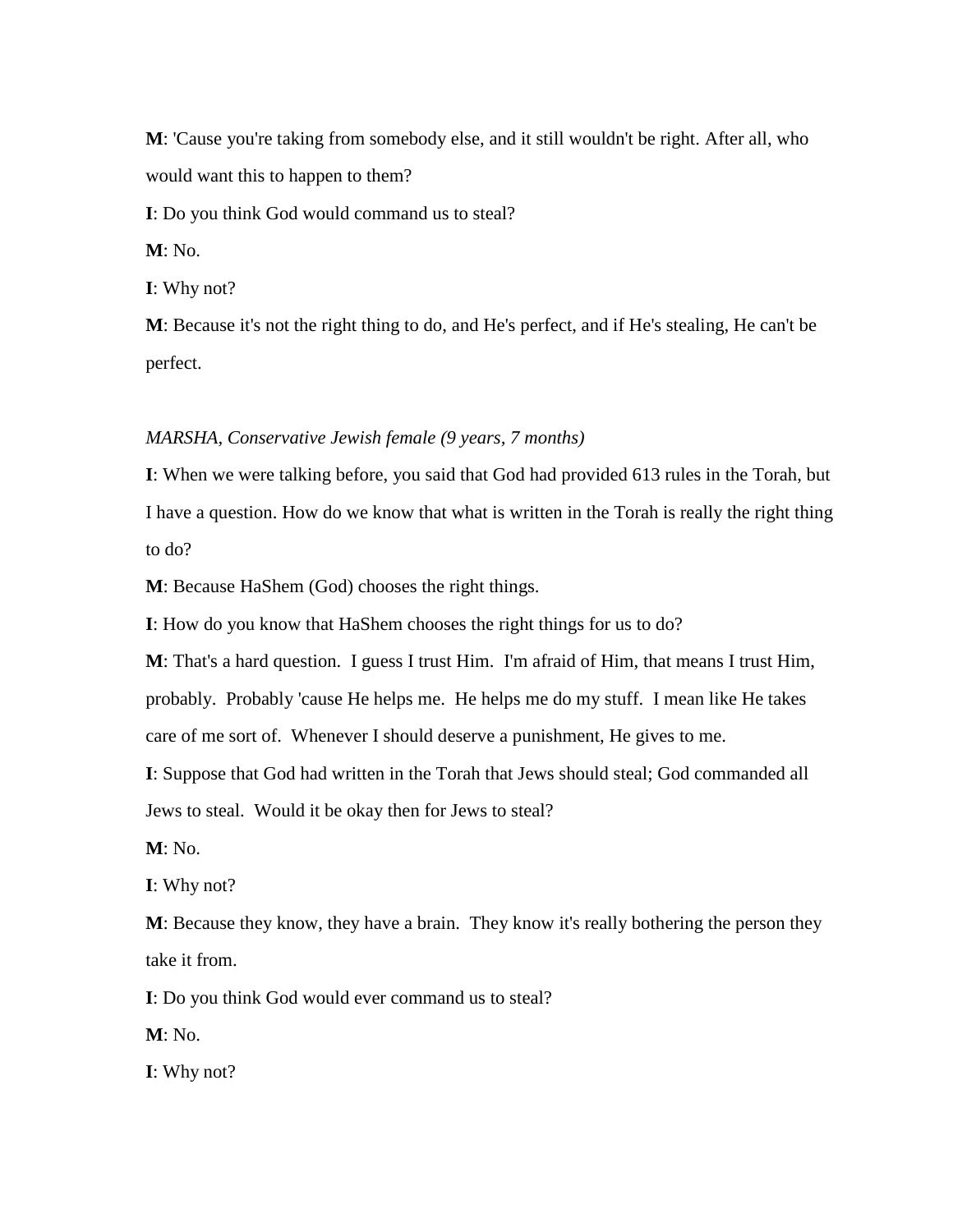**M**: 'Cause you're taking from somebody else, and it still wouldn't be right. After all, who would want this to happen to them?

**I**: Do you think God would command us to steal?

**M**: No.

**I**: Why not?

**M**: Because it's not the right thing to do, and He's perfect, and if He's stealing, He can't be perfect.

# *MARSHA, Conservative Jewish female (9 years, 7 months)*

**I**: When we were talking before, you said that God had provided 613 rules in the Torah, but I have a question. How do we know that what is written in the Torah is really the right thing to do?

**M**: Because HaShem (God) chooses the right things.

**I**: How do you know that HaShem chooses the right things for us to do?

**M**: That's a hard question. I guess I trust Him. I'm afraid of Him, that means I trust Him, probably. Probably 'cause He helps me. He helps me do my stuff. I mean like He takes care of me sort of. Whenever I should deserve a punishment, He gives to me.

**I**: Suppose that God had written in the Torah that Jews should steal; God commanded all Jews to steal. Would it be okay then for Jews to steal?

**M**: No.

**I**: Why not?

**M**: Because they know, they have a brain. They know it's really bothering the person they take it from.

**I**: Do you think God would ever command us to steal?

**M**: No.

**I**: Why not?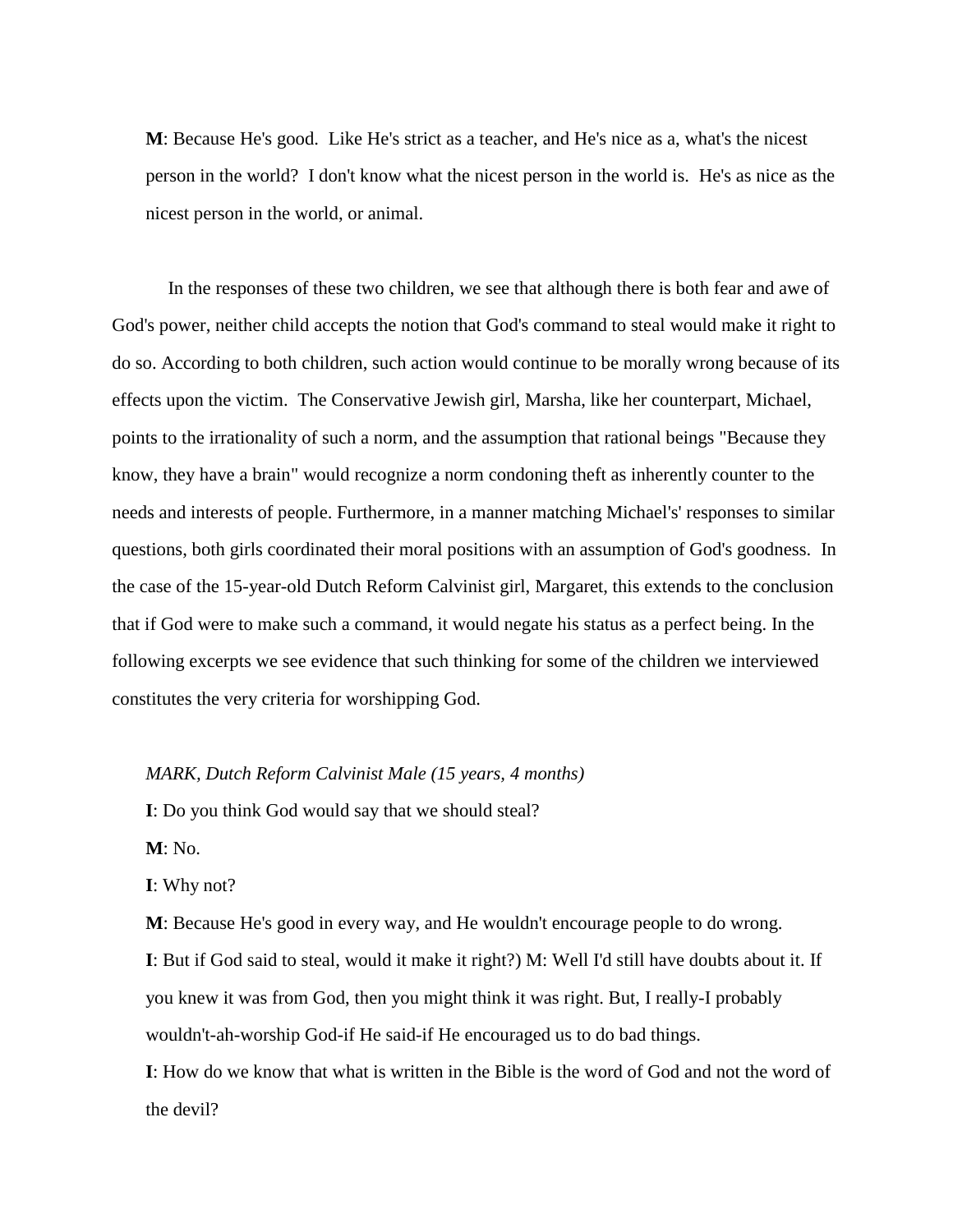**M**: Because He's good. Like He's strict as a teacher, and He's nice as a, what's the nicest person in the world? I don't know what the nicest person in the world is. He's as nice as the nicest person in the world, or animal.

In the responses of these two children, we see that although there is both fear and awe of God's power, neither child accepts the notion that God's command to steal would make it right to do so. According to both children, such action would continue to be morally wrong because of its effects upon the victim. The Conservative Jewish girl, Marsha, like her counterpart, Michael, points to the irrationality of such a norm, and the assumption that rational beings "Because they know, they have a brain" would recognize a norm condoning theft as inherently counter to the needs and interests of people. Furthermore, in a manner matching Michael's' responses to similar questions, both girls coordinated their moral positions with an assumption of God's goodness. In the case of the 15-year-old Dutch Reform Calvinist girl, Margaret, this extends to the conclusion that if God were to make such a command, it would negate his status as a perfect being. In the following excerpts we see evidence that such thinking for some of the children we interviewed constitutes the very criteria for worshipping God.

# *MARK, Dutch Reform Calvinist Male (15 years, 4 months)*

**I**: Do you think God would say that we should steal?

**M**: No.

**I**: Why not?

**M**: Because He's good in every way, and He wouldn't encourage people to do wrong. **I**: But if God said to steal, would it make it right?) M: Well I'd still have doubts about it. If you knew it was from God, then you might think it was right. But, I really-I probably wouldn't-ah-worship God-if He said-if He encouraged us to do bad things.

**I**: How do we know that what is written in the Bible is the word of God and not the word of the devil?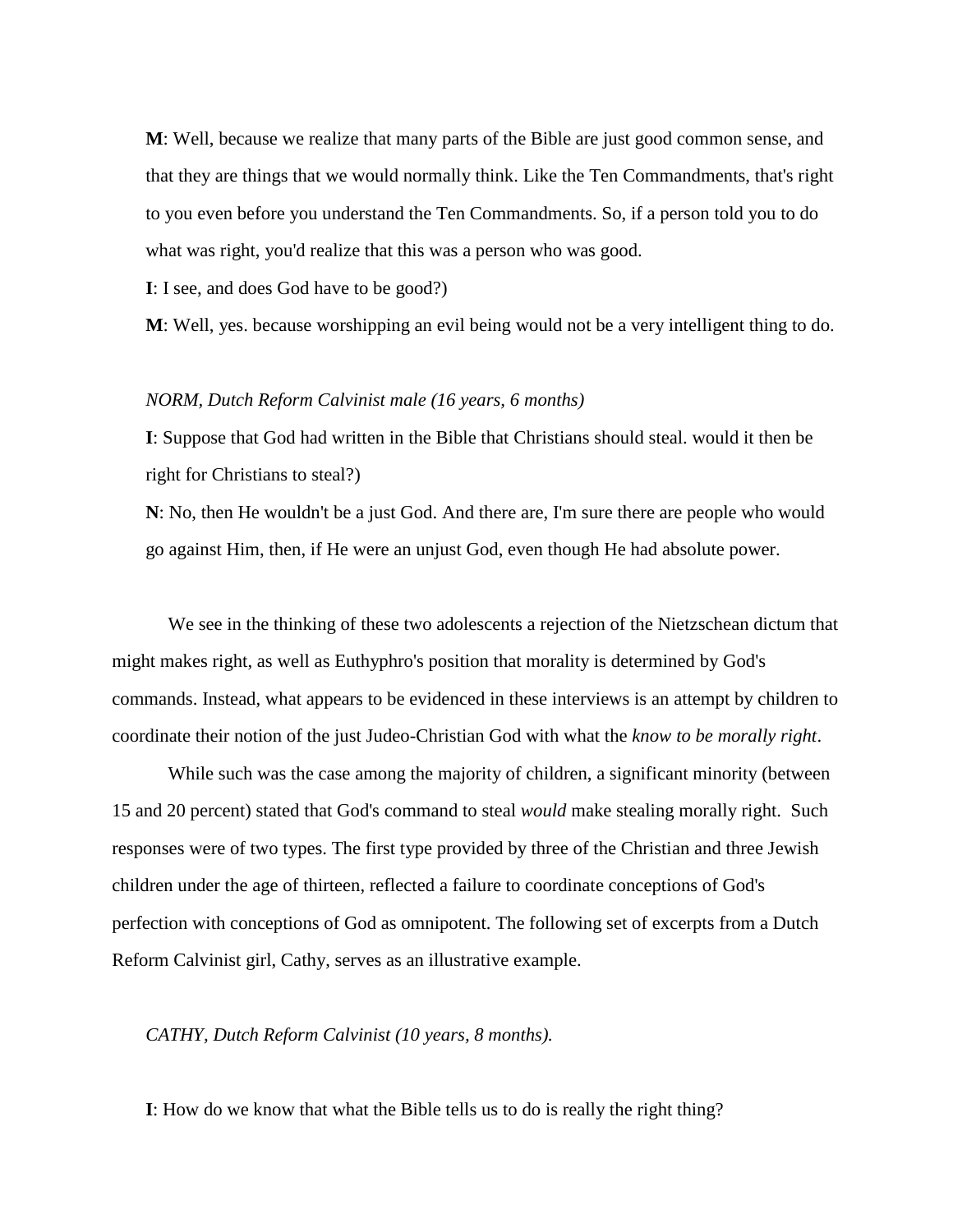**M**: Well, because we realize that many parts of the Bible are just good common sense, and that they are things that we would normally think. Like the Ten Commandments, that's right to you even before you understand the Ten Commandments. So, if a person told you to do what was right, you'd realize that this was a person who was good.

**I**: I see, and does God have to be good?)

**M**: Well, yes. because worshipping an evil being would not be a very intelligent thing to do.

#### *NORM, Dutch Reform Calvinist male (16 years, 6 months)*

**I**: Suppose that God had written in the Bible that Christians should steal. would it then be right for Christians to steal?)

**N**: No, then He wouldn't be a just God. And there are, I'm sure there are people who would go against Him, then, if He were an unjust God, even though He had absolute power.

We see in the thinking of these two adolescents a rejection of the Nietzschean dictum that might makes right, as well as Euthyphro's position that morality is determined by God's commands. Instead, what appears to be evidenced in these interviews is an attempt by children to coordinate their notion of the just Judeo-Christian God with what the *know to be morally right*.

While such was the case among the majority of children, a significant minority (between 15 and 20 percent) stated that God's command to steal *would* make stealing morally right. Such responses were of two types. The first type provided by three of the Christian and three Jewish children under the age of thirteen, reflected a failure to coordinate conceptions of God's perfection with conceptions of God as omnipotent. The following set of excerpts from a Dutch Reform Calvinist girl, Cathy, serves as an illustrative example.

# *CATHY, Dutch Reform Calvinist (10 years, 8 months).*

**I**: How do we know that what the Bible tells us to do is really the right thing?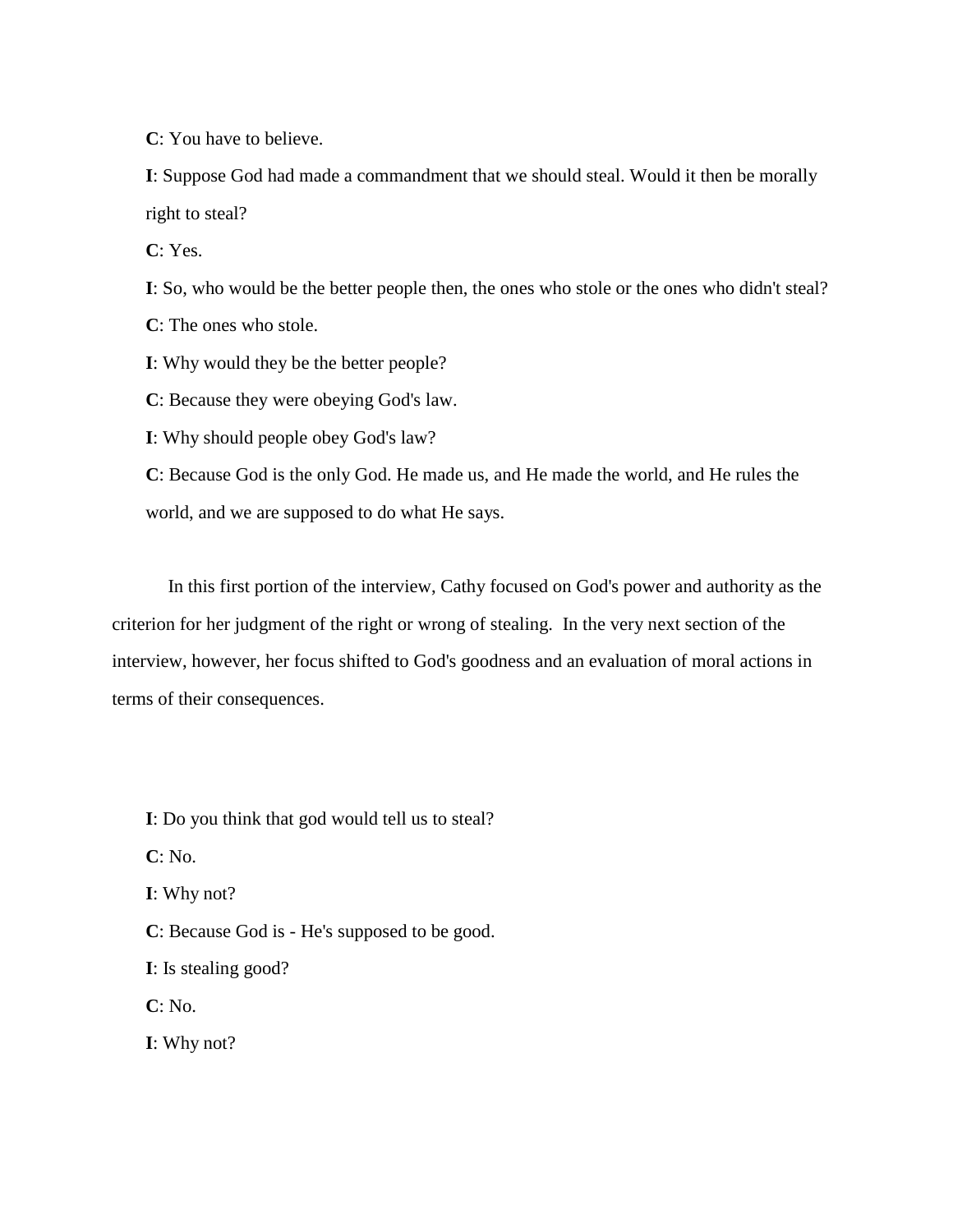**C**: You have to believe.

**I**: Suppose God had made a commandment that we should steal. Would it then be morally right to steal?

**C**: Yes.

**I**: So, who would be the better people then, the ones who stole or the ones who didn't steal?

**C**: The ones who stole.

**I**: Why would they be the better people?

**C**: Because they were obeying God's law.

**I**: Why should people obey God's law?

**C**: Because God is the only God. He made us, and He made the world, and He rules the world, and we are supposed to do what He says.

In this first portion of the interview, Cathy focused on God's power and authority as the criterion for her judgment of the right or wrong of stealing. In the very next section of the interview, however, her focus shifted to God's goodness and an evaluation of moral actions in terms of their consequences.

**I**: Do you think that god would tell us to steal?

**C**: No.

**I**: Why not?

**C**: Because God is - He's supposed to be good.

**I**: Is stealing good?

**C**: No.

**I**: Why not?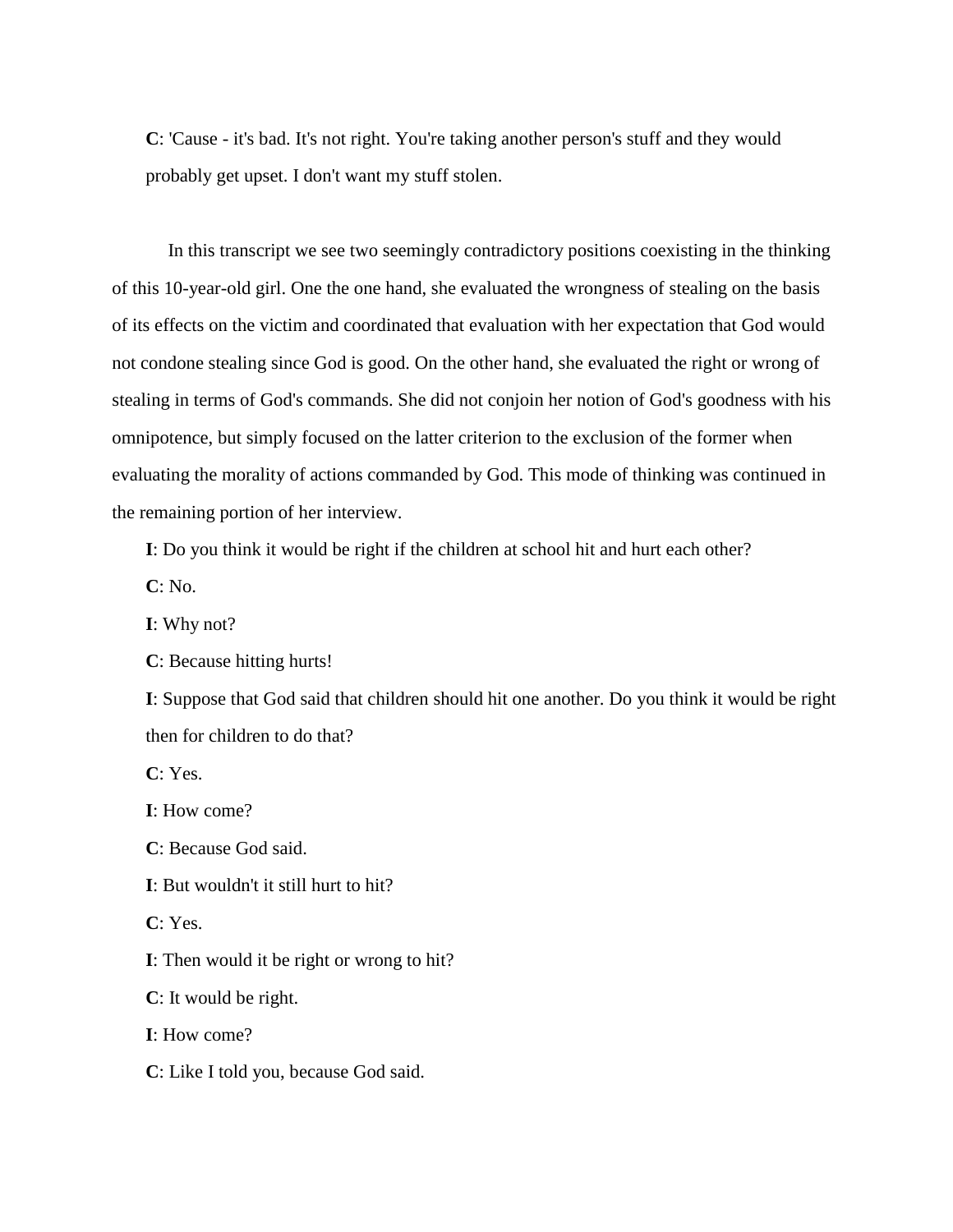**C**: 'Cause - it's bad. It's not right. You're taking another person's stuff and they would probably get upset. I don't want my stuff stolen.

In this transcript we see two seemingly contradictory positions coexisting in the thinking of this 10-year-old girl. One the one hand, she evaluated the wrongness of stealing on the basis of its effects on the victim and coordinated that evaluation with her expectation that God would not condone stealing since God is good. On the other hand, she evaluated the right or wrong of stealing in terms of God's commands. She did not conjoin her notion of God's goodness with his omnipotence, but simply focused on the latter criterion to the exclusion of the former when evaluating the morality of actions commanded by God. This mode of thinking was continued in the remaining portion of her interview.

**I**: Do you think it would be right if the children at school hit and hurt each other?

**C**: No.

**I**: Why not?

**C**: Because hitting hurts!

**I**: Suppose that God said that children should hit one another. Do you think it would be right then for children to do that?

**C**: Yes.

**I**: How come?

**C**: Because God said.

**I**: But wouldn't it still hurt to hit?

**C**: Yes.

**I**: Then would it be right or wrong to hit?

**C**: It would be right.

**I**: How come?

**C**: Like I told you, because God said.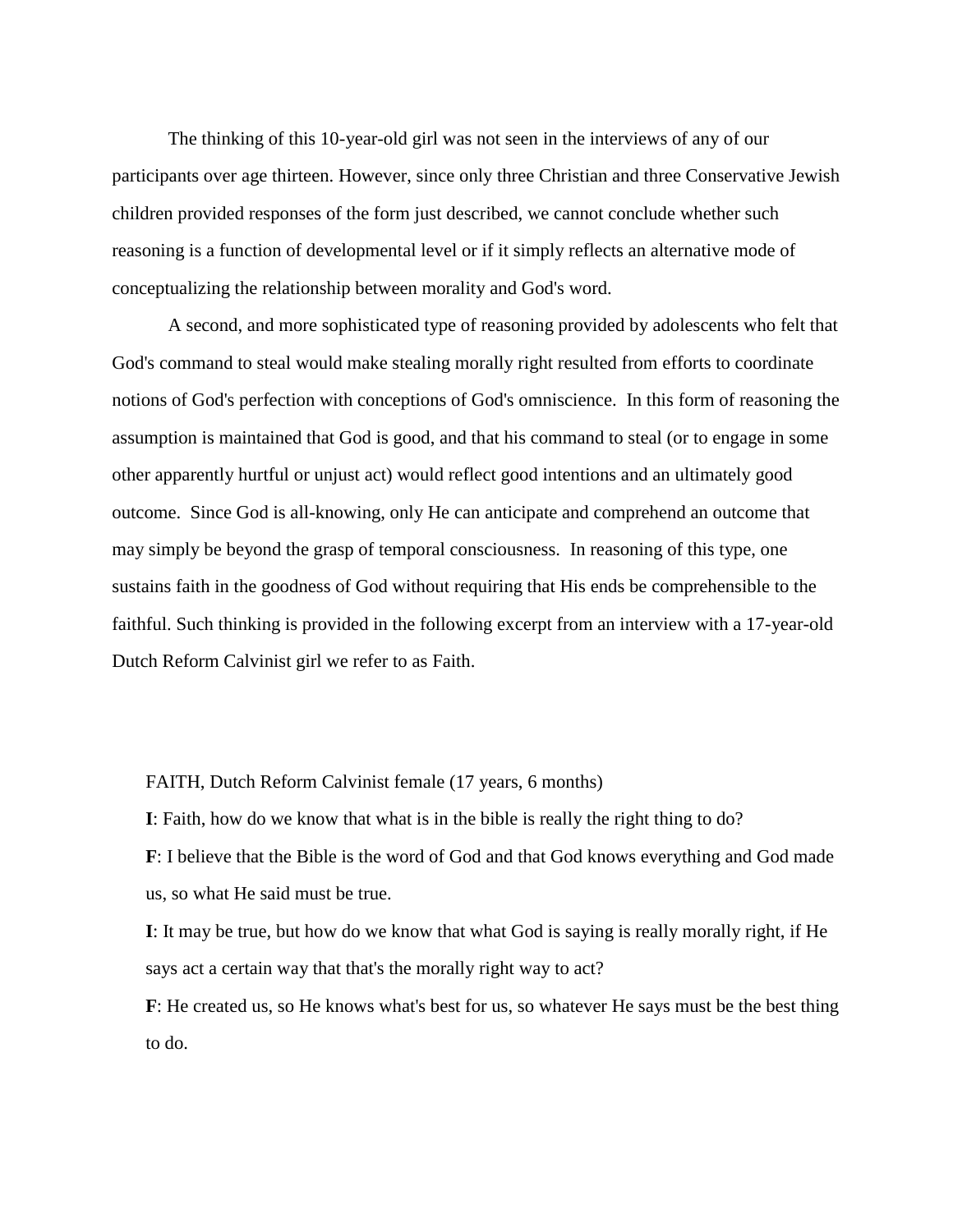The thinking of this 10-year-old girl was not seen in the interviews of any of our participants over age thirteen. However, since only three Christian and three Conservative Jewish children provided responses of the form just described, we cannot conclude whether such reasoning is a function of developmental level or if it simply reflects an alternative mode of conceptualizing the relationship between morality and God's word.

A second, and more sophisticated type of reasoning provided by adolescents who felt that God's command to steal would make stealing morally right resulted from efforts to coordinate notions of God's perfection with conceptions of God's omniscience. In this form of reasoning the assumption is maintained that God is good, and that his command to steal (or to engage in some other apparently hurtful or unjust act) would reflect good intentions and an ultimately good outcome. Since God is all-knowing, only He can anticipate and comprehend an outcome that may simply be beyond the grasp of temporal consciousness. In reasoning of this type, one sustains faith in the goodness of God without requiring that His ends be comprehensible to the faithful. Such thinking is provided in the following excerpt from an interview with a 17-year-old Dutch Reform Calvinist girl we refer to as Faith.

FAITH, Dutch Reform Calvinist female (17 years, 6 months)

**I**: Faith, how do we know that what is in the bible is really the right thing to do?

**F**: I believe that the Bible is the word of God and that God knows everything and God made us, so what He said must be true.

**I**: It may be true, but how do we know that what God is saying is really morally right, if He says act a certain way that that's the morally right way to act?

**F**: He created us, so He knows what's best for us, so whatever He says must be the best thing to do.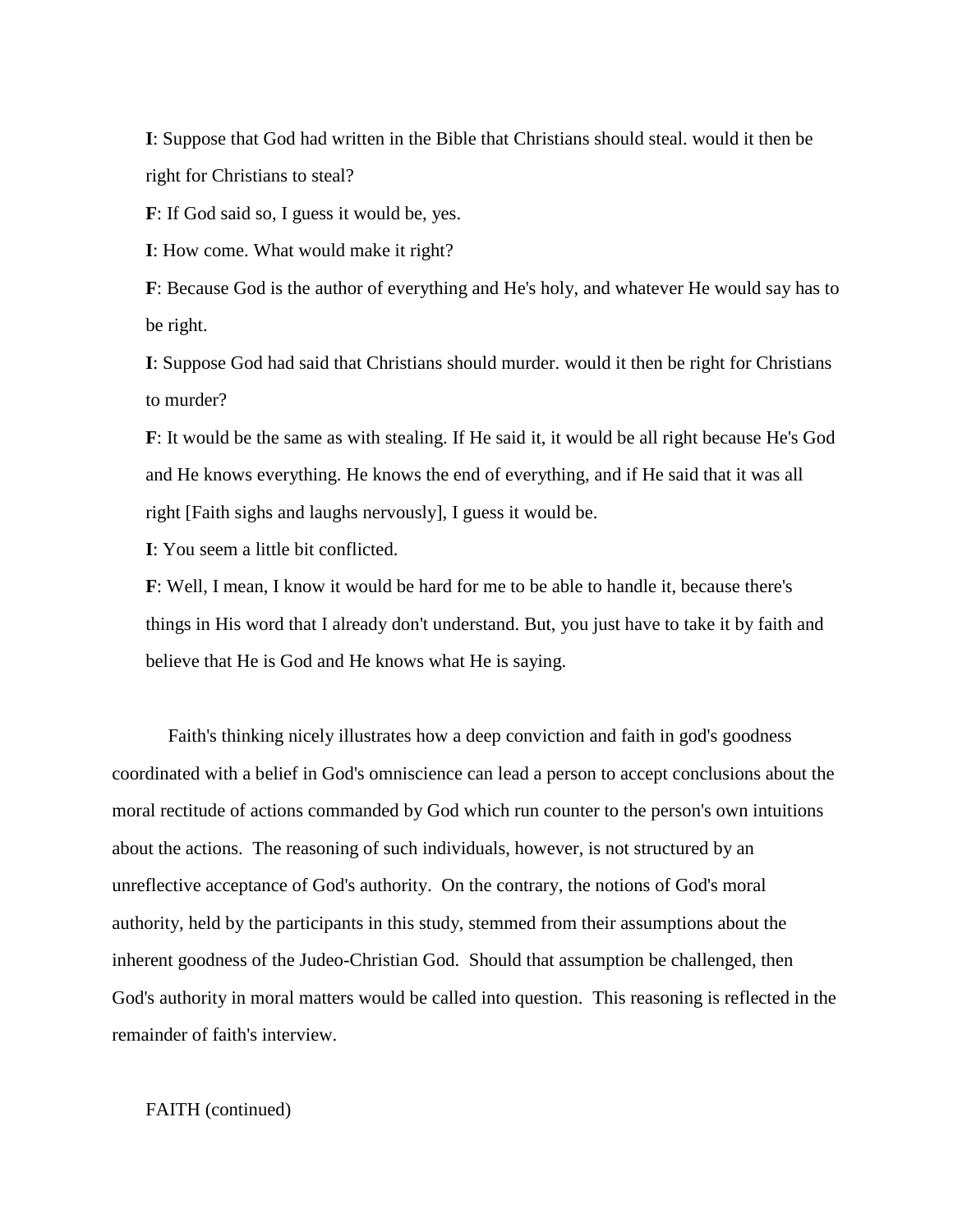**I**: Suppose that God had written in the Bible that Christians should steal. would it then be right for Christians to steal?

**F**: If God said so, I guess it would be, yes.

**I**: How come. What would make it right?

**F**: Because God is the author of everything and He's holy, and whatever He would say has to be right.

**I**: Suppose God had said that Christians should murder. would it then be right for Christians to murder?

**F**: It would be the same as with stealing. If He said it, it would be all right because He's God and He knows everything. He knows the end of everything, and if He said that it was all right [Faith sighs and laughs nervously], I guess it would be.

**I**: You seem a little bit conflicted.

**F**: Well, I mean, I know it would be hard for me to be able to handle it, because there's things in His word that I already don't understand. But, you just have to take it by faith and believe that He is God and He knows what He is saying.

Faith's thinking nicely illustrates how a deep conviction and faith in god's goodness coordinated with a belief in God's omniscience can lead a person to accept conclusions about the moral rectitude of actions commanded by God which run counter to the person's own intuitions about the actions. The reasoning of such individuals, however, is not structured by an unreflective acceptance of God's authority. On the contrary, the notions of God's moral authority, held by the participants in this study, stemmed from their assumptions about the inherent goodness of the Judeo-Christian God. Should that assumption be challenged, then God's authority in moral matters would be called into question. This reasoning is reflected in the remainder of faith's interview.

#### FAITH (continued)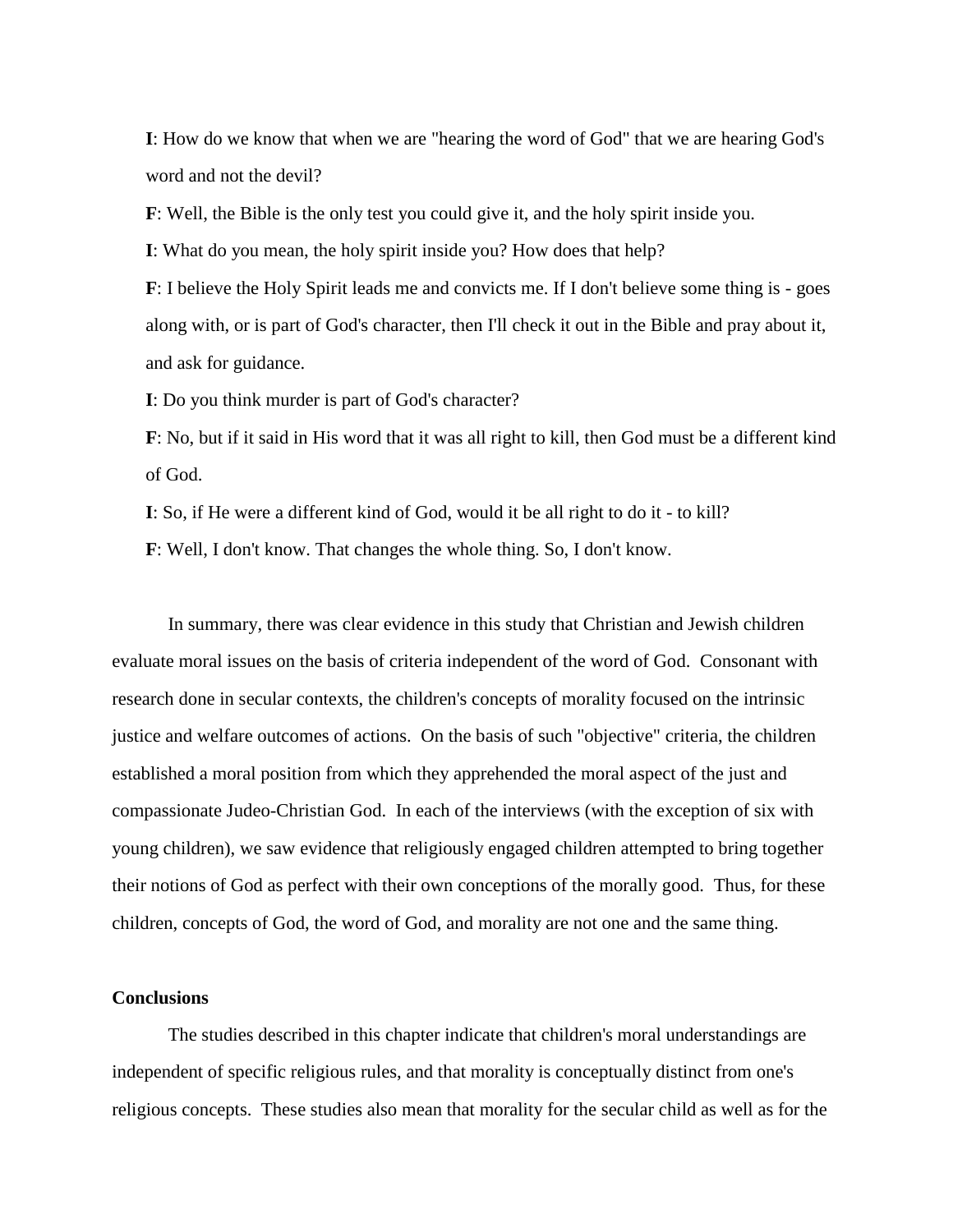**I**: How do we know that when we are "hearing the word of God" that we are hearing God's word and not the devil?

**F**: Well, the Bible is the only test you could give it, and the holy spirit inside you.

**I**: What do you mean, the holy spirit inside you? How does that help?

**F**: I believe the Holy Spirit leads me and convicts me. If I don't believe some thing is - goes along with, or is part of God's character, then I'll check it out in the Bible and pray about it, and ask for guidance.

**I**: Do you think murder is part of God's character?

**F**: No, but if it said in His word that it was all right to kill, then God must be a different kind of God.

**I**: So, if He were a different kind of God, would it be all right to do it - to kill?

**F**: Well, I don't know. That changes the whole thing. So, I don't know.

In summary, there was clear evidence in this study that Christian and Jewish children evaluate moral issues on the basis of criteria independent of the word of God. Consonant with research done in secular contexts, the children's concepts of morality focused on the intrinsic justice and welfare outcomes of actions. On the basis of such "objective" criteria, the children established a moral position from which they apprehended the moral aspect of the just and compassionate Judeo-Christian God. In each of the interviews (with the exception of six with young children), we saw evidence that religiously engaged children attempted to bring together their notions of God as perfect with their own conceptions of the morally good. Thus, for these children, concepts of God, the word of God, and morality are not one and the same thing.

### **Conclusions**

The studies described in this chapter indicate that children's moral understandings are independent of specific religious rules, and that morality is conceptually distinct from one's religious concepts. These studies also mean that morality for the secular child as well as for the